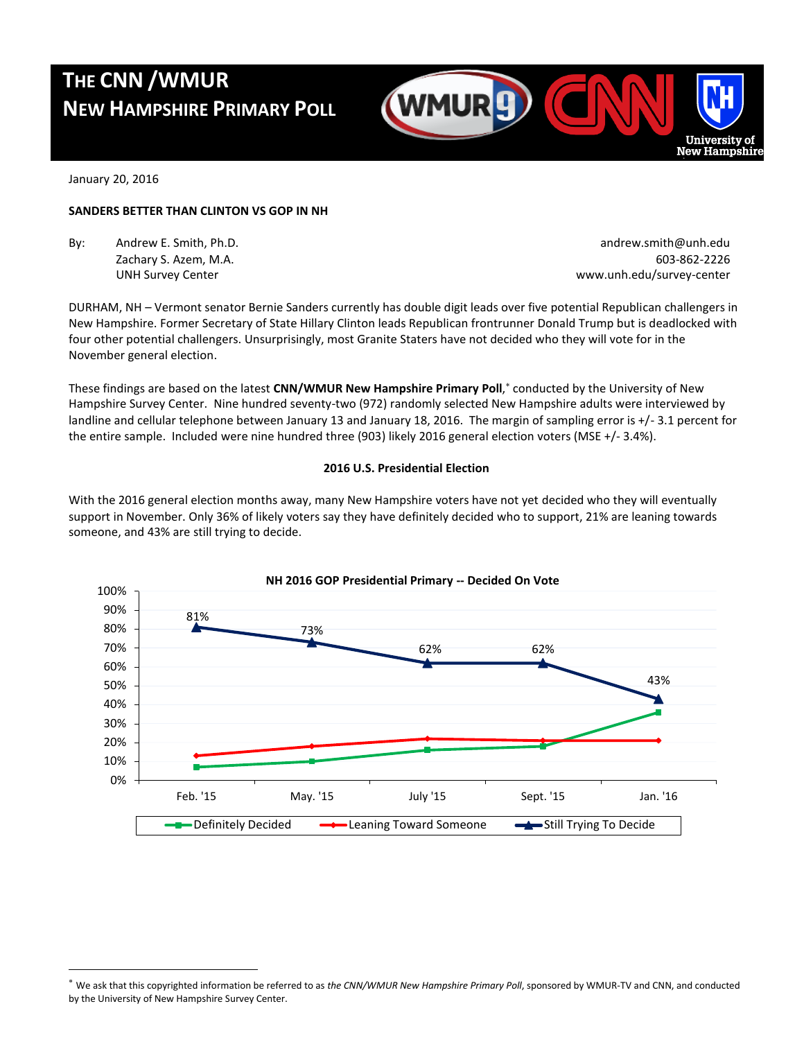# **THE CNN /WMUR NEW HAMPSHIRE PRIMARY POLL**



January 20, 2016

l

#### **SANDERS BETTER THAN CLINTON VS GOP IN NH**

By: Andrew E. Smith, Ph.D. **Andrew.smith@unh.edu** andrew.smith@unh.edu

Zachary S. Azem, M.A. 603-862-2226 UNH Survey Center www.unh.edu/survey-center

DURHAM, NH – Vermont senator Bernie Sanders currently has double digit leads over five potential Republican challengers in New Hampshire. Former Secretary of State Hillary Clinton leads Republican frontrunner Donald Trump but is deadlocked with four other potential challengers. Unsurprisingly, most Granite Staters have not decided who they will vote for in the November general election.

These findings are based on the latest **CNN/WMUR New Hampshire Primary Poll**, conducted by the University of New Hampshire Survey Center. Nine hundred seventy-two (972) randomly selected New Hampshire adults were interviewed by landline and cellular telephone between January 13 and January 18, 2016. The margin of sampling error is +/- 3.1 percent for the entire sample. Included were nine hundred three (903) likely 2016 general election voters (MSE +/- 3.4%).

#### **2016 U.S. Presidential Election**

With the 2016 general election months away, many New Hampshire voters have not yet decided who they will eventually support in November. Only 36% of likely voters say they have definitely decided who to support, 21% are leaning towards someone, and 43% are still trying to decide.



We ask that this copyrighted information be referred to as *the CNN/WMUR New Hampshire Primary Poll*, sponsored by WMUR-TV and CNN, and conducted by the University of New Hampshire Survey Center.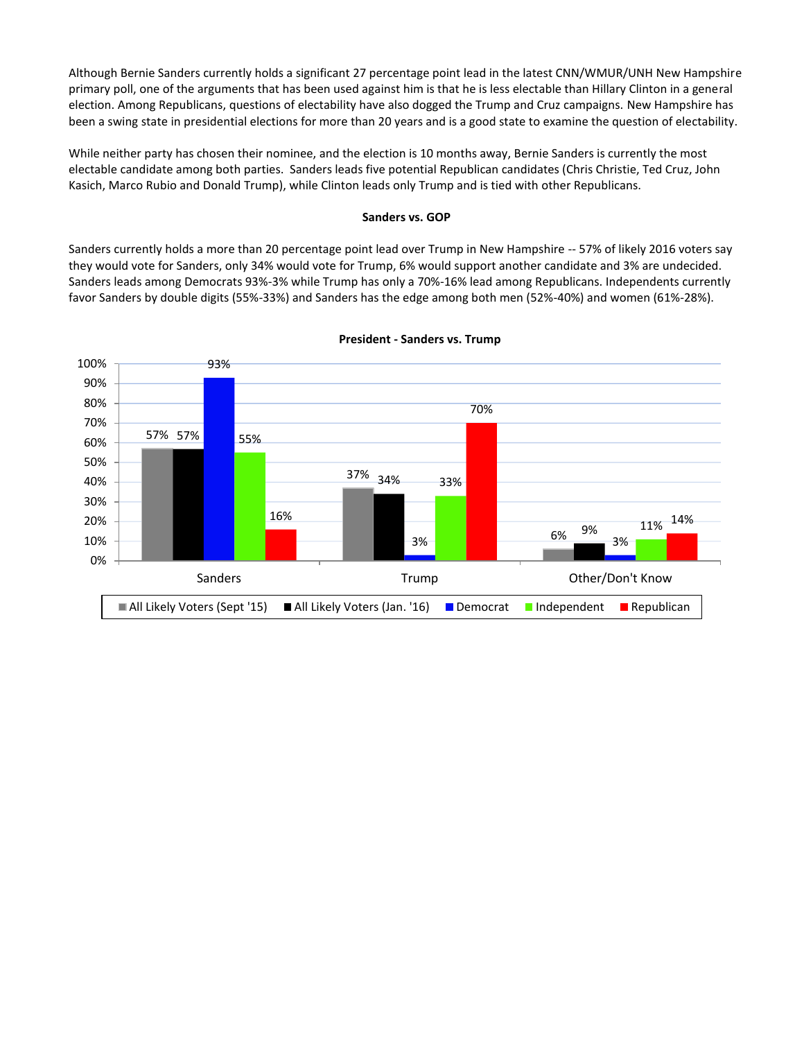Although Bernie Sanders currently holds a significant 27 percentage point lead in the latest CNN/WMUR/UNH New Hampshire primary poll, one of the arguments that has been used against him is that he is less electable than Hillary Clinton in a general election. Among Republicans, questions of electability have also dogged the Trump and Cruz campaigns. New Hampshire has been a swing state in presidential elections for more than 20 years and is a good state to examine the question of electability.

While neither party has chosen their nominee, and the election is 10 months away, Bernie Sanders is currently the most electable candidate among both parties. Sanders leads five potential Republican candidates (Chris Christie, Ted Cruz, John Kasich, Marco Rubio and Donald Trump), while Clinton leads only Trump and is tied with other Republicans.

#### **Sanders vs. GOP**

Sanders currently holds a more than 20 percentage point lead over Trump in New Hampshire -- 57% of likely 2016 voters say they would vote for Sanders, only 34% would vote for Trump, 6% would support another candidate and 3% are undecided. Sanders leads among Democrats 93%-3% while Trump has only a 70%-16% lead among Republicans. Independents currently favor Sanders by double digits (55%-33%) and Sanders has the edge among both men (52%-40%) and women (61%-28%).



#### **President - Sanders vs. Trump**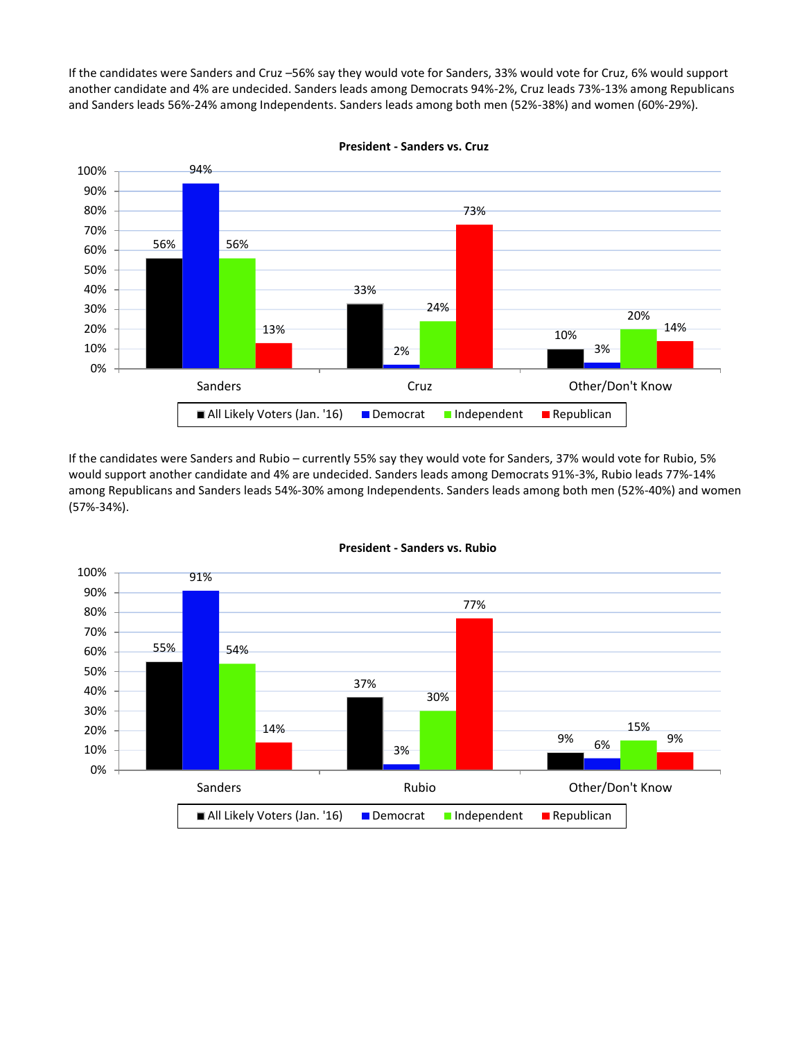If the candidates were Sanders and Cruz –56% say they would vote for Sanders, 33% would vote for Cruz, 6% would support another candidate and 4% are undecided. Sanders leads among Democrats 94%-2%, Cruz leads 73%-13% among Republicans and Sanders leads 56%-24% among Independents. Sanders leads among both men (52%-38%) and women (60%-29%).



**President - Sanders vs. Cruz**

If the candidates were Sanders and Rubio – currently 55% say they would vote for Sanders, 37% would vote for Rubio, 5% would support another candidate and 4% are undecided. Sanders leads among Democrats 91%-3%, Rubio leads 77%-14% among Republicans and Sanders leads 54%-30% among Independents. Sanders leads among both men (52%-40%) and women (57%-34%).



#### **President - Sanders vs. Rubio**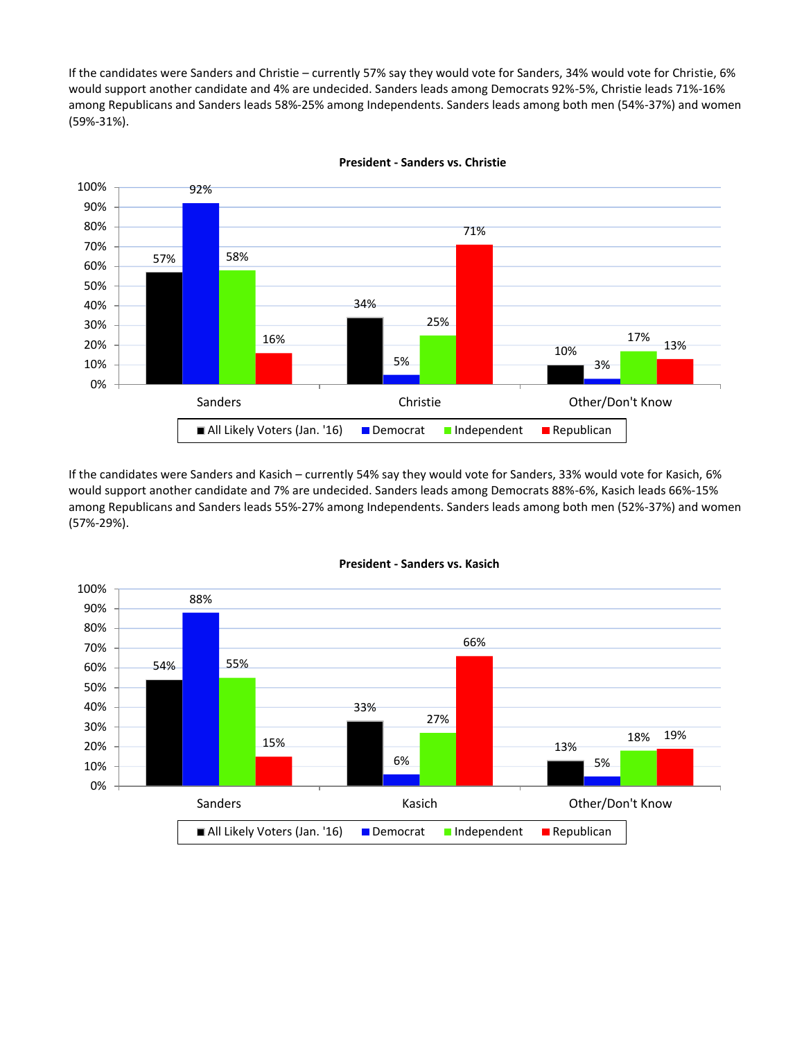If the candidates were Sanders and Christie – currently 57% say they would vote for Sanders, 34% would vote for Christie, 6% would support another candidate and 4% are undecided. Sanders leads among Democrats 92%-5%, Christie leads 71%-16% among Republicans and Sanders leads 58%-25% among Independents. Sanders leads among both men (54%-37%) and women (59%-31%).



**President - Sanders vs. Christie**

If the candidates were Sanders and Kasich – currently 54% say they would vote for Sanders, 33% would vote for Kasich, 6% would support another candidate and 7% are undecided. Sanders leads among Democrats 88%-6%, Kasich leads 66%-15% among Republicans and Sanders leads 55%-27% among Independents. Sanders leads among both men (52%-37%) and women (57%-29%).



**President - Sanders vs. Kasich**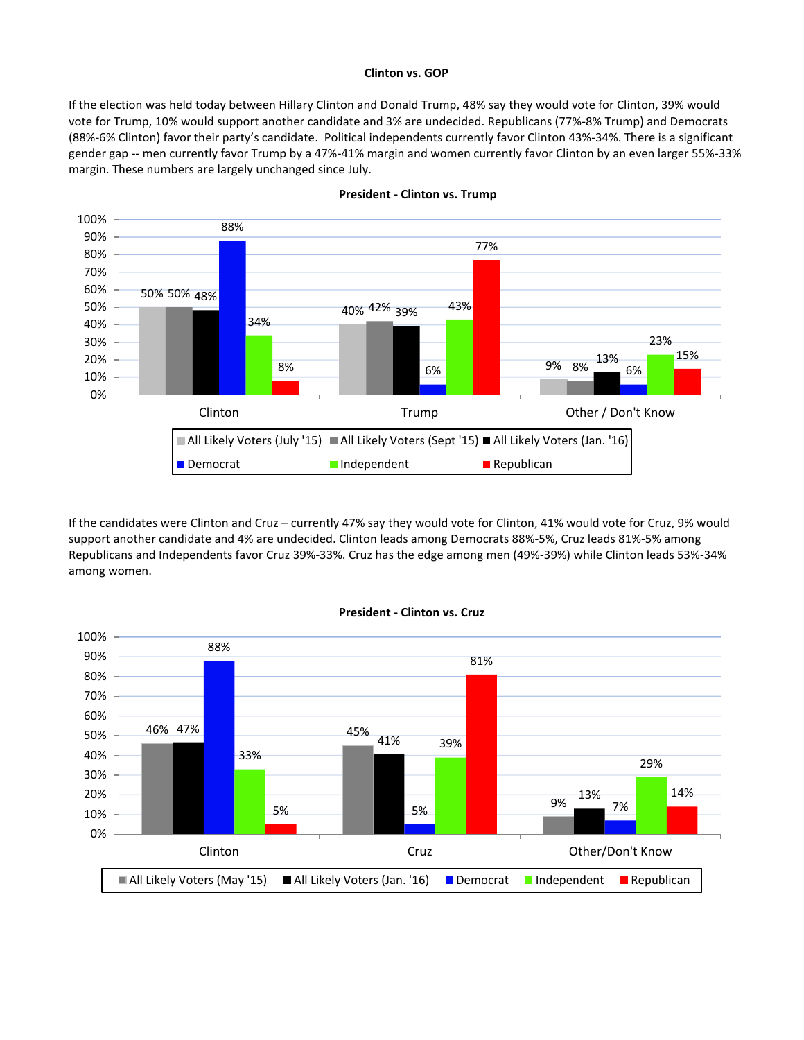#### **Clinton vs. GOP**

If the election was held today between Hillary Clinton and Donald Trump, 48% say they would vote for Clinton, 39% would vote for Trump, 10% would support another candidate and 3% are undecided. Republicans (77%-8% Trump) and Democrats (88%-6% Clinton) favor their party's candidate. Political independents currently favor Clinton 43%-34%. There is a significant gender gap -- men currently favor Trump by a 47%-41% margin and women currently favor Clinton by an even larger 55%-33% margin. These numbers are largely unchanged since July.



#### **President - Clinton vs. Trump**

If the candidates were Clinton and Cruz – currently 47% say they would vote for Clinton, 41% would vote for Cruz, 9% would support another candidate and 4% are undecided. Clinton leads among Democrats 88%-5%, Cruz leads 81%-5% among Republicans and Independents favor Cruz 39%-33%. Cruz has the edge among men (49%-39%) while Clinton leads 53%-34% among women.



#### **President - Clinton vs. Cruz**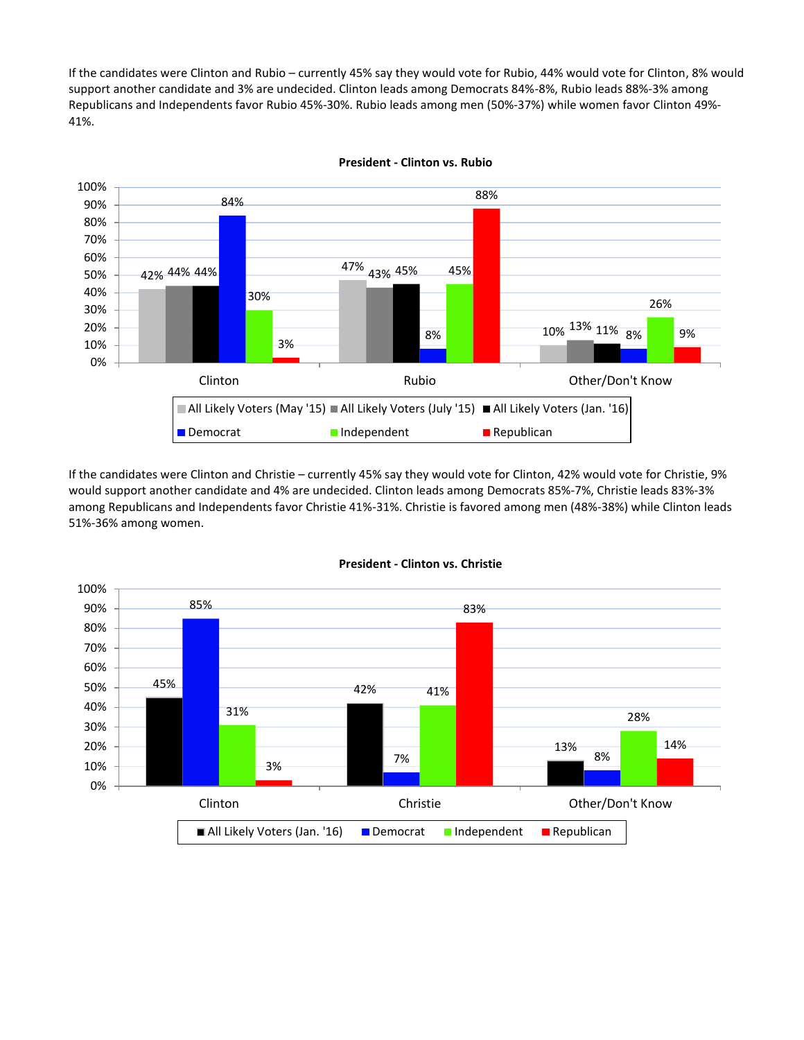If the candidates were Clinton and Rubio – currently 45% say they would vote for Rubio, 44% would vote for Clinton, 8% would support another candidate and 3% are undecided. Clinton leads among Democrats 84%-8%, Rubio leads 88%-3% among Republicans and Independents favor Rubio 45%-30%. Rubio leads among men (50%-37%) while women favor Clinton 49%- 41%.



**President - Clinton vs. Rubio**

If the candidates were Clinton and Christie – currently 45% say they would vote for Clinton, 42% would vote for Christie, 9% would support another candidate and 4% are undecided. Clinton leads among Democrats 85%-7%, Christie leads 83%-3% among Republicans and Independents favor Christie 41%-31%. Christie is favored among men (48%-38%) while Clinton leads 51%-36% among women.



#### **President - Clinton vs. Christie**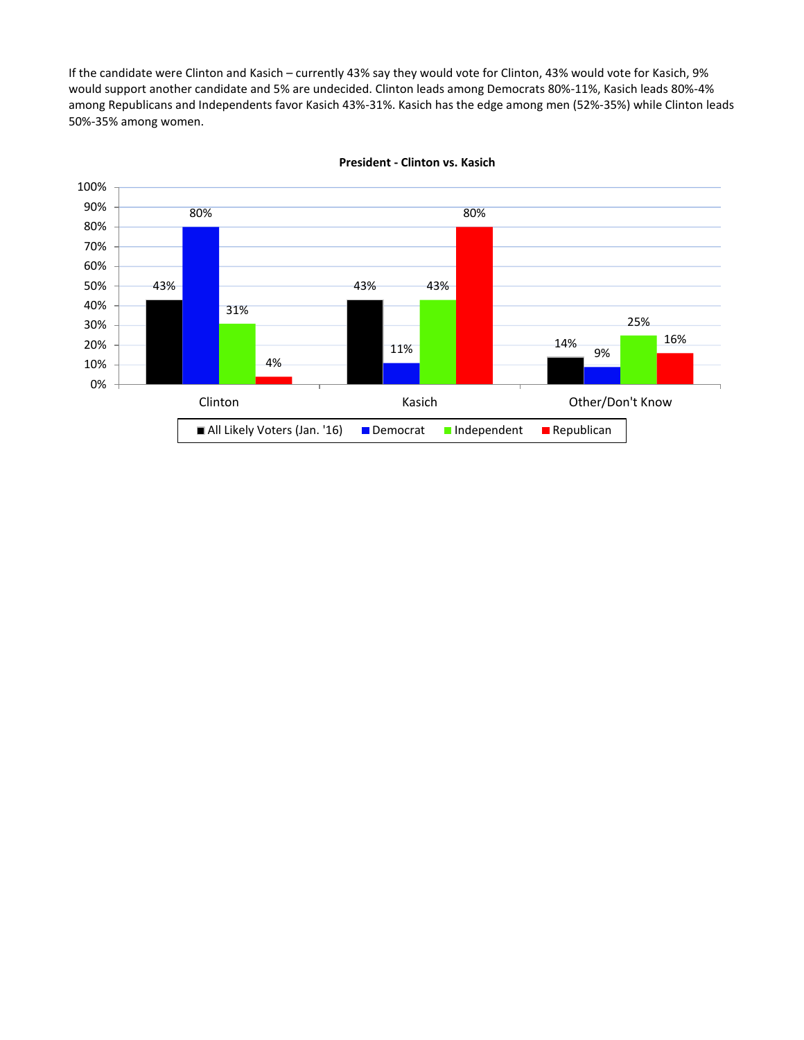If the candidate were Clinton and Kasich – currently 43% say they would vote for Clinton, 43% would vote for Kasich, 9% would support another candidate and 5% are undecided. Clinton leads among Democrats 80%-11%, Kasich leads 80%-4% among Republicans and Independents favor Kasich 43%-31%. Kasich has the edge among men (52%-35%) while Clinton leads 50%-35% among women.



#### **President - Clinton vs. Kasich**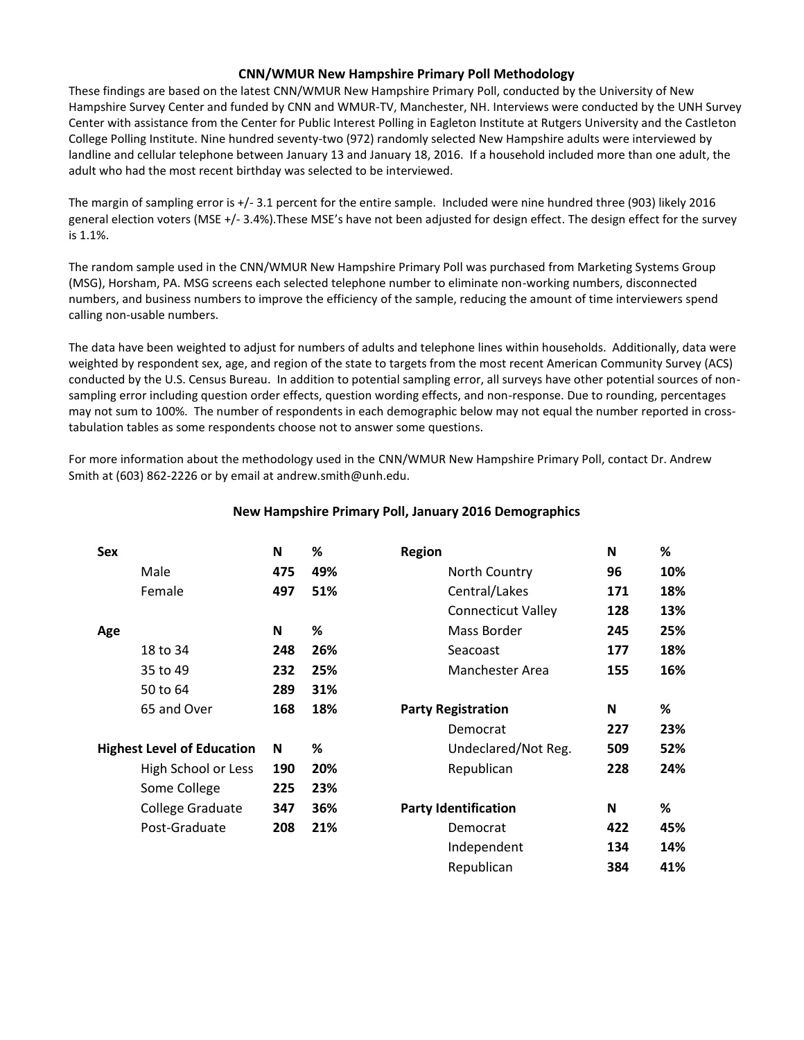## **CNN/WMUR New Hampshire Primary Poll Methodology**

These findings are based on the latest CNN/WMUR New Hampshire Primary Poll, conducted by the University of New Hampshire Survey Center and funded by CNN and WMUR-TV, Manchester, NH. Interviews were conducted by the UNH Survey Center with assistance from the Center for Public Interest Polling in Eagleton Institute at Rutgers University and the Castleton College Polling Institute. Nine hundred seventy-two (972) randomly selected New Hampshire adults were interviewed by landline and cellular telephone between January 13 and January 18, 2016. If a household included more than one adult, the adult who had the most recent birthday was selected to be interviewed.

The margin of sampling error is +/- 3.1 percent for the entire sample. Included were nine hundred three (903) likely 2016 general election voters (MSE +/- 3.4%).These MSE's have not been adjusted for design effect. The design effect for the survey is 1.1%.

The random sample used in the CNN/WMUR New Hampshire Primary Poll was purchased from Marketing Systems Group (MSG), Horsham, PA. MSG screens each selected telephone number to eliminate non-working numbers, disconnected numbers, and business numbers to improve the efficiency of the sample, reducing the amount of time interviewers spend calling non-usable numbers.

The data have been weighted to adjust for numbers of adults and telephone lines within households. Additionally, data were weighted by respondent sex, age, and region of the state to targets from the most recent American Community Survey (ACS) conducted by the U.S. Census Bureau. In addition to potential sampling error, all surveys have other potential sources of nonsampling error including question order effects, question wording effects, and non-response. Due to rounding, percentages may not sum to 100%. The number of respondents in each demographic below may not equal the number reported in crosstabulation tables as some respondents choose not to answer some questions.

For more information about the methodology used in the CNN/WMUR New Hampshire Primary Poll, contact Dr. Andrew Smith at (603) 862-2226 or by email at andrew.smith@unh.edu.

| Sex |                                   | N   | %   | <b>Region</b>               | N   | %   |
|-----|-----------------------------------|-----|-----|-----------------------------|-----|-----|
|     | Male                              | 475 | 49% | North Country               | 96  | 10% |
|     | Female                            | 497 | 51% | Central/Lakes               | 171 | 18% |
|     |                                   |     |     | <b>Connecticut Valley</b>   | 128 | 13% |
| Age |                                   | N   | %   | Mass Border                 | 245 | 25% |
|     | 18 to 34                          | 248 | 26% | Seacoast                    | 177 | 18% |
|     | 35 to 49                          | 232 | 25% | Manchester Area             | 155 | 16% |
|     | 50 to 64                          | 289 | 31% |                             |     |     |
|     | 65 and Over                       | 168 | 18% | <b>Party Registration</b>   | N   | %   |
|     |                                   |     |     | Democrat                    | 227 | 23% |
|     | <b>Highest Level of Education</b> | N   | %   | Undeclared/Not Reg.         | 509 | 52% |
|     | High School or Less               | 190 | 20% | Republican                  | 228 | 24% |
|     | Some College                      | 225 | 23% |                             |     |     |
|     | College Graduate                  | 347 | 36% | <b>Party Identification</b> | N   | %   |
|     | Post-Graduate                     | 208 | 21% | Democrat                    | 422 | 45% |
|     |                                   |     |     | Independent                 | 134 | 14% |
|     |                                   |     |     | Republican                  | 384 | 41% |

# **New Hampshire Primary Poll, January 2016 Demographics**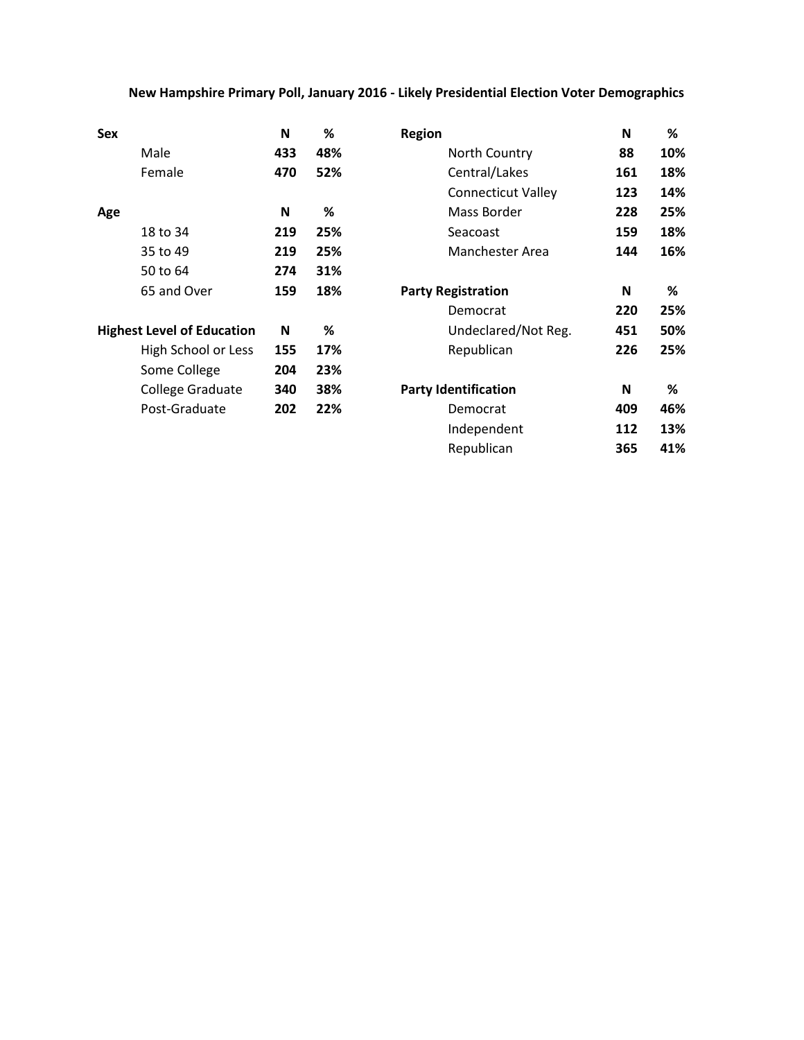# **New Hampshire Primary Poll, January 2016 - Likely Presidential Election Voter Demographics**

| Sex                               | N   | %   | <b>Region</b>               | N   | %    |
|-----------------------------------|-----|-----|-----------------------------|-----|------|
| Male                              | 433 | 48% | North Country               | 88  | 10%  |
| Female                            | 470 | 52% | Central/Lakes               | 161 | 18%  |
|                                   |     |     | <b>Connecticut Valley</b>   | 123 | 14%  |
| Age                               | N   | %   | Mass Border                 | 228 | 25%  |
| 18 to 34                          | 219 | 25% | Seacoast                    | 159 | 18%  |
| 35 to 49                          | 219 | 25% | Manchester Area             | 144 | 16%  |
| 50 to 64                          | 274 | 31% |                             |     |      |
| 65 and Over                       | 159 | 18% | <b>Party Registration</b>   | N   | %    |
|                                   |     |     | Democrat                    | 220 | 25%  |
| <b>Highest Level of Education</b> | N   | %   | Undeclared/Not Reg.         | 451 | 50%  |
| High School or Less               | 155 | 17% | Republican                  | 226 | 25%  |
| Some College                      | 204 | 23% |                             |     |      |
| College Graduate                  | 340 | 38% | <b>Party Identification</b> | N   | $\%$ |
| Post-Graduate                     | 202 | 22% | Democrat                    | 409 | 46%  |
|                                   |     |     | Independent                 | 112 | 13%  |
|                                   |     |     | Republican                  | 365 | 41%  |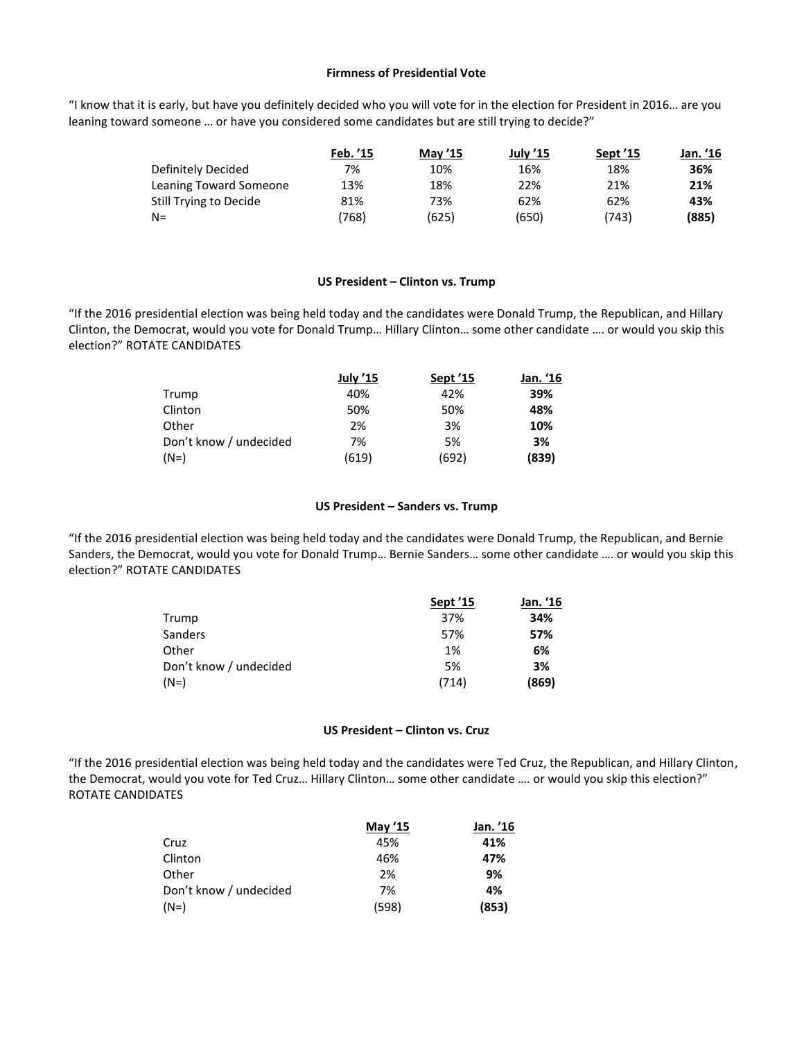#### **Firmness of Presidential Vote**

"I know that it is early, but have you definitely decided who you will vote for in the election for President in 2016… are you leaning toward someone … or have you considered some candidates but are still trying to decide?"

|                        | Feb. '15 | <b>May '15</b> | <b>July '15</b> | Sept '15 | Jan. '16 |
|------------------------|----------|----------------|-----------------|----------|----------|
| Definitely Decided     | 7%       | 10%            | 16%             | 18%      | 36%      |
| Leaning Toward Someone | 13%      | 18%            | 22%             | 21%      | 21%      |
| Still Trying to Decide | 81%      | 73%            | 62%             | 62%      | 43%      |
| $N =$                  | (768)    | (625)          | (650)           | (743)    | (885)    |

#### **US President – Clinton vs. Trump**

"If the 2016 presidential election was being held today and the candidates were Donald Trump, the Republican, and Hillary Clinton, the Democrat, would you vote for Donald Trump… Hillary Clinton… some other candidate …. or would you skip this election?" ROTATE CANDIDATES

|                        | <b>July '15</b> | Sept '15 | Jan. '16 |
|------------------------|-----------------|----------|----------|
| Trump                  | 40%             | 42%      | 39%      |
| Clinton                | 50%             | 50%      | 48%      |
| Other                  | 2%              | 3%       | 10%      |
| Don't know / undecided | 7%              | 5%       | 3%       |
| $(N=)$                 | (619)           | (692)    | (839)    |

#### **US President – Sanders vs. Trump**

"If the 2016 presidential election was being held today and the candidates were Donald Trump, the Republican, and Bernie Sanders, the Democrat, would you vote for Donald Trump… Bernie Sanders… some other candidate …. or would you skip this election?" ROTATE CANDIDATES

|                        | Sept '15 | Jan. '16 |
|------------------------|----------|----------|
| Trump                  | 37%      | 34%      |
| <b>Sanders</b>         | 57%      | 57%      |
| Other                  | 1%       | 6%       |
| Don't know / undecided | 5%       | 3%       |
| $(N=)$                 | (714)    | (869)    |

## **US President – Clinton vs. Cruz**

"If the 2016 presidential election was being held today and the candidates were Ted Cruz, the Republican, and Hillary Clinton, the Democrat, would you vote for Ted Cruz… Hillary Clinton… some other candidate …. or would you skip this election?" ROTATE CANDIDATES

|                        | <b>May '15</b> | Jan. '16 |
|------------------------|----------------|----------|
| Cruz                   | 45%            | 41%      |
| Clinton                | 46%            | 47%      |
| Other                  | 2%             | 9%       |
| Don't know / undecided | 7%             | 4%       |
| (N=)                   | (598)          | (853)    |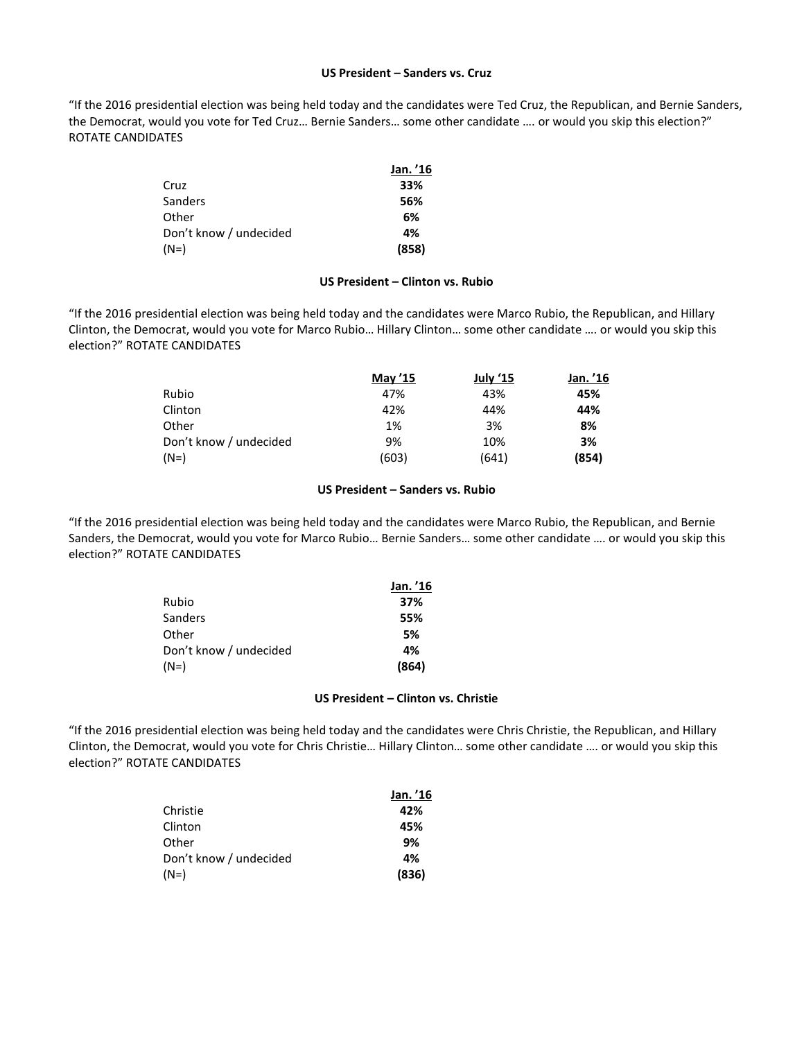#### **US President – Sanders vs. Cruz**

"If the 2016 presidential election was being held today and the candidates were Ted Cruz, the Republican, and Bernie Sanders, the Democrat, would you vote for Ted Cruz… Bernie Sanders… some other candidate …. or would you skip this election?" ROTATE CANDIDATES

|                        | Jan. '16 |
|------------------------|----------|
| Cruz                   | 33%      |
| <b>Sanders</b>         | 56%      |
| Other                  | 6%       |
| Don't know / undecided | 4%       |
| $(N=)$                 | (858)    |

#### **US President – Clinton vs. Rubio**

"If the 2016 presidential election was being held today and the candidates were Marco Rubio, the Republican, and Hillary Clinton, the Democrat, would you vote for Marco Rubio… Hillary Clinton… some other candidate …. or would you skip this election?" ROTATE CANDIDATES

|                        | May '15 | July '15 | Jan. '16 |
|------------------------|---------|----------|----------|
| Rubio                  | 47%     | 43%      | 45%      |
| Clinton                | 42%     | 44%      | 44%      |
| Other                  | 1%      | 3%       | 8%       |
| Don't know / undecided | 9%      | 10%      | 3%       |
| $(N=)$                 | (603)   | (641)    | (854)    |

#### **US President – Sanders vs. Rubio**

"If the 2016 presidential election was being held today and the candidates were Marco Rubio, the Republican, and Bernie Sanders, the Democrat, would you vote for Marco Rubio… Bernie Sanders… some other candidate …. or would you skip this election?" ROTATE CANDIDATES

|                        | Jan. '16 |
|------------------------|----------|
| Rubio                  | 37%      |
| <b>Sanders</b>         | 55%      |
| Other                  | 5%       |
| Don't know / undecided | 4%       |
| $(N=)$                 | (864)    |

#### **US President – Clinton vs. Christie**

"If the 2016 presidential election was being held today and the candidates were Chris Christie, the Republican, and Hillary Clinton, the Democrat, would you vote for Chris Christie… Hillary Clinton… some other candidate …. or would you skip this election?" ROTATE CANDIDATES

|                        | Jan. '16 |
|------------------------|----------|
| Christie               | 42%      |
| Clinton                | 45%      |
| Other                  | 9%       |
| Don't know / undecided | 4%       |
| (N=)                   | (836)    |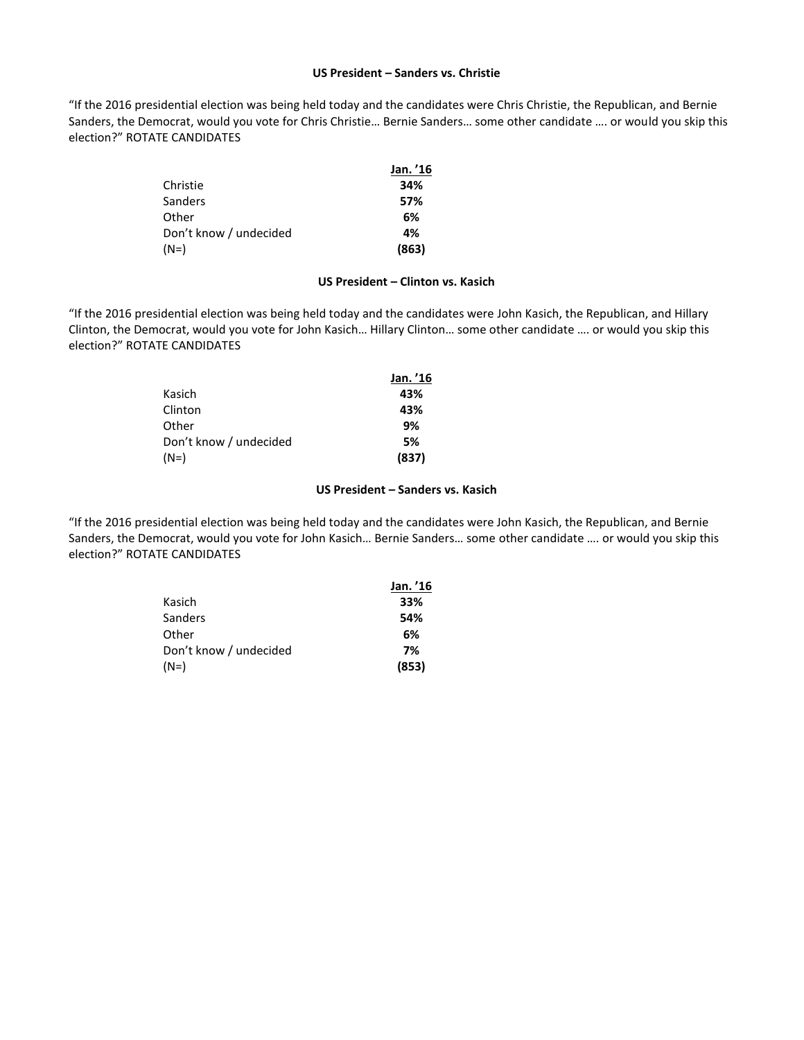#### **US President – Sanders vs. Christie**

"If the 2016 presidential election was being held today and the candidates were Chris Christie, the Republican, and Bernie Sanders, the Democrat, would you vote for Chris Christie… Bernie Sanders… some other candidate …. or would you skip this election?" ROTATE CANDIDATES

|                        | Jan. '16 |
|------------------------|----------|
| Christie               | 34%      |
| <b>Sanders</b>         | 57%      |
| Other                  | 6%       |
| Don't know / undecided | 4%       |
| $(N=)$                 | (863)    |

#### **US President – Clinton vs. Kasich**

"If the 2016 presidential election was being held today and the candidates were John Kasich, the Republican, and Hillary Clinton, the Democrat, would you vote for John Kasich… Hillary Clinton… some other candidate …. or would you skip this election?" ROTATE CANDIDATES

|                        | Jan. '16 |
|------------------------|----------|
| Kasich                 | 43%      |
| Clinton                | 43%      |
| Other                  | 9%       |
| Don't know / undecided | 5%       |
| (N=)                   | (837)    |

#### **US President – Sanders vs. Kasich**

"If the 2016 presidential election was being held today and the candidates were John Kasich, the Republican, and Bernie Sanders, the Democrat, would you vote for John Kasich… Bernie Sanders… some other candidate …. or would you skip this election?" ROTATE CANDIDATES

|                        | Jan. '16 |
|------------------------|----------|
| Kasich                 | 33%      |
| Sanders                | 54%      |
| Other                  | 6%       |
| Don't know / undecided | 7%       |
| $(N=)$                 | (853)    |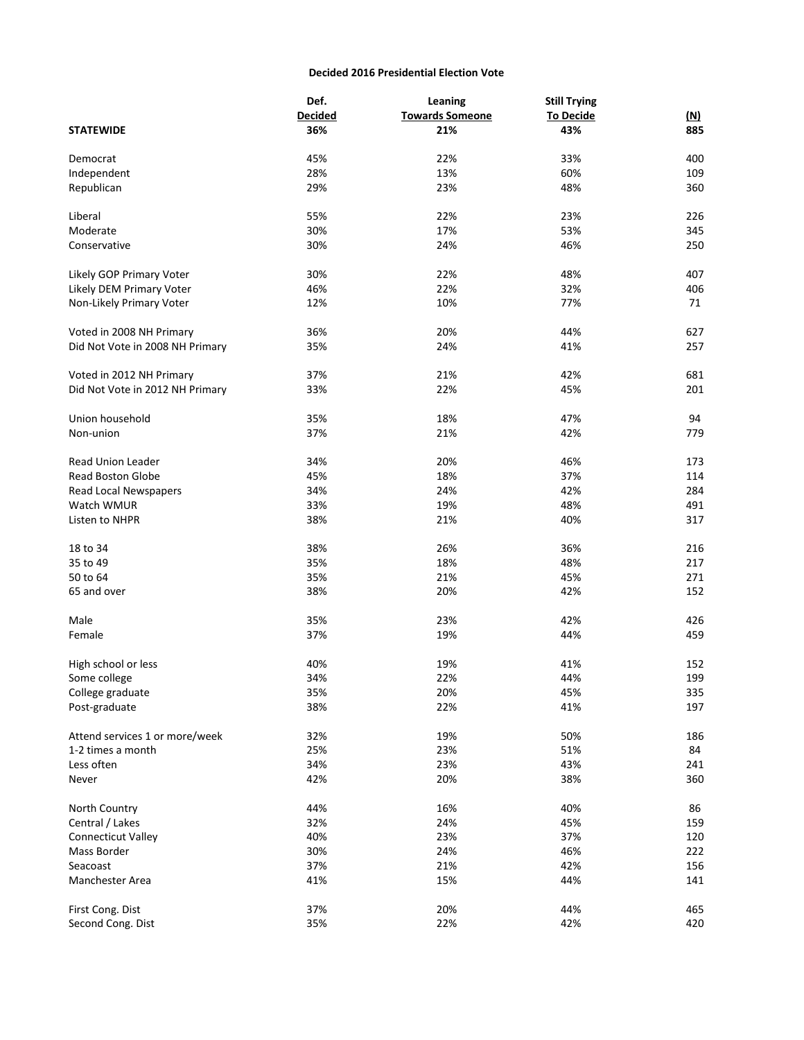#### **Decided 2016 Presidential Election Vote**

|                                 | Def.           | Leaning                | <b>Still Trying</b> |            |
|---------------------------------|----------------|------------------------|---------------------|------------|
|                                 | <b>Decided</b> | <b>Towards Someone</b> | <b>To Decide</b>    | <u>(N)</u> |
| <b>STATEWIDE</b>                | 36%            | 21%                    | 43%                 | 885        |
|                                 |                |                        |                     |            |
| Democrat                        | 45%            | 22%                    | 33%                 | 400        |
| Independent                     | 28%            | 13%                    | 60%                 | 109        |
| Republican                      | 29%            | 23%                    | 48%                 | 360        |
|                                 |                |                        |                     |            |
| Liberal                         | 55%            | 22%                    | 23%                 | 226        |
| Moderate                        | 30%            | 17%                    | 53%                 | 345        |
| Conservative                    | 30%            | 24%                    | 46%                 | 250        |
|                                 |                |                        |                     |            |
| Likely GOP Primary Voter        | 30%            | 22%                    | 48%                 | 407        |
| Likely DEM Primary Voter        | 46%            | 22%                    | 32%                 | 406        |
| Non-Likely Primary Voter        | 12%            | 10%                    | 77%                 | 71         |
|                                 |                |                        |                     |            |
|                                 | 36%            | 20%                    | 44%                 | 627        |
| Voted in 2008 NH Primary        |                |                        |                     |            |
| Did Not Vote in 2008 NH Primary | 35%            | 24%                    | 41%                 | 257        |
|                                 |                |                        |                     |            |
| Voted in 2012 NH Primary        | 37%            | 21%                    | 42%                 | 681        |
| Did Not Vote in 2012 NH Primary | 33%            | 22%                    | 45%                 | 201        |
|                                 |                |                        |                     |            |
| Union household                 | 35%            | 18%                    | 47%                 | 94         |
| Non-union                       | 37%            | 21%                    | 42%                 | 779        |
|                                 |                |                        |                     |            |
| <b>Read Union Leader</b>        | 34%            | 20%                    | 46%                 | 173        |
| <b>Read Boston Globe</b>        | 45%            | 18%                    | 37%                 | 114        |
| Read Local Newspapers           | 34%            | 24%                    | 42%                 | 284        |
| Watch WMUR                      | 33%            | 19%                    | 48%                 | 491        |
| Listen to NHPR                  | 38%            | 21%                    | 40%                 | 317        |
|                                 |                |                        |                     |            |
| 18 to 34                        | 38%            | 26%                    | 36%                 | 216        |
| 35 to 49                        | 35%            | 18%                    | 48%                 | 217        |
| 50 to 64                        | 35%            | 21%                    | 45%                 | 271        |
| 65 and over                     | 38%            | 20%                    | 42%                 | 152        |
|                                 |                |                        |                     |            |
| Male                            | 35%            | 23%                    | 42%                 | 426        |
| Female                          | 37%            | 19%                    | 44%                 | 459        |
|                                 |                |                        |                     |            |
| High school or less             | 40%            | 19%                    | 41%                 | 152        |
| Some college                    | 34%            | 22%                    | 44%                 | 199        |
| College graduate                | 35%            | 20%                    | 45%                 | 335        |
| Post-graduate                   | 38%            | 22%                    | 41%                 | 197        |
|                                 |                |                        |                     |            |
| Attend services 1 or more/week  | 32%            | 19%                    | 50%                 | 186        |
| 1-2 times a month               | 25%            | 23%                    | 51%                 | 84         |
| Less often                      | 34%            | 23%                    | 43%                 | 241        |
|                                 |                |                        |                     |            |
| Never                           | 42%            | 20%                    | 38%                 | 360        |
|                                 |                |                        |                     |            |
| North Country                   | 44%            | 16%                    | 40%                 | 86         |
| Central / Lakes                 | 32%            | 24%                    | 45%                 | 159        |
| <b>Connecticut Valley</b>       | 40%            | 23%                    | 37%                 | 120        |
| Mass Border                     | 30%            | 24%                    | 46%                 | 222        |
| Seacoast                        | 37%            | 21%                    | 42%                 | 156        |
| Manchester Area                 | 41%            | 15%                    | 44%                 | 141        |
|                                 |                |                        |                     |            |
| First Cong. Dist                | 37%            | 20%                    | 44%                 | 465        |
| Second Cong. Dist               | 35%            | 22%                    | 42%                 | 420        |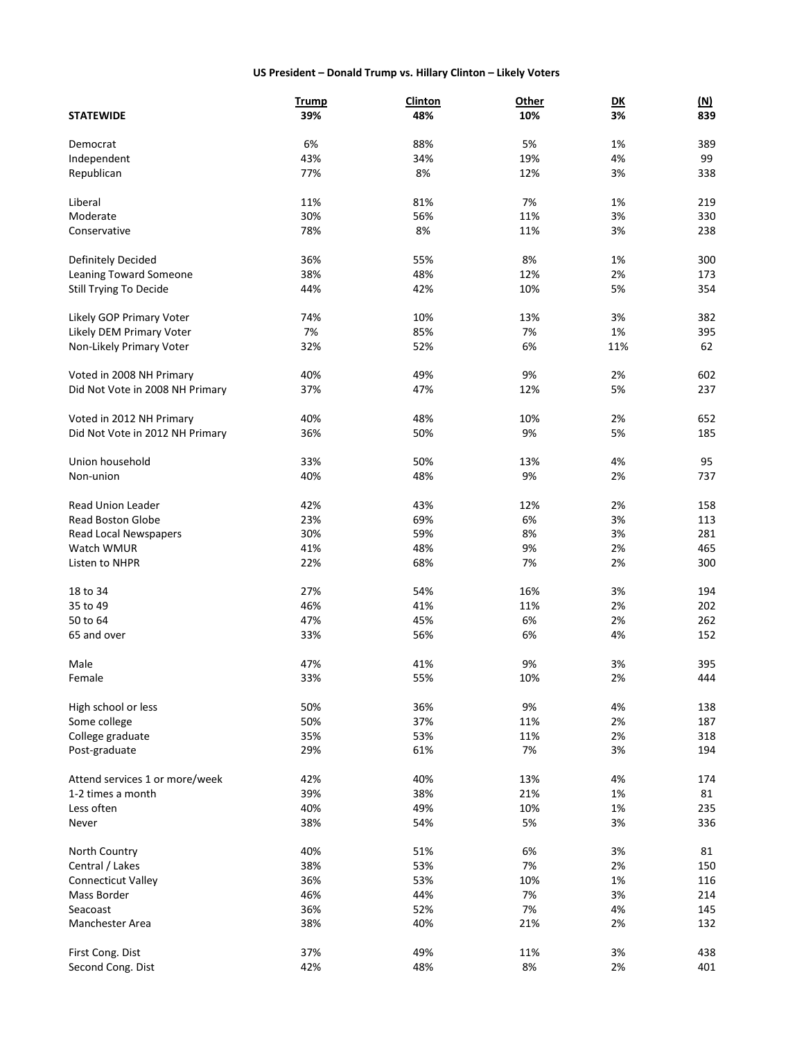# **US President – Donald Trump vs. Hillary Clinton – Likely Voters**

|                                 | <b>Trump</b> | <b>Clinton</b> | Other | $\overline{\mathsf{D}\mathsf{K}}$ | <u>(N)</u> |
|---------------------------------|--------------|----------------|-------|-----------------------------------|------------|
| <b>STATEWIDE</b>                | 39%          | 48%            | 10%   | 3%                                | 839        |
|                                 | 6%           |                |       |                                   |            |
| Democrat                        |              | 88%            | 5%    | 1%                                | 389        |
| Independent                     | 43%          | 34%            | 19%   | 4%                                | 99         |
| Republican                      | 77%          | 8%             | 12%   | 3%                                | 338        |
| Liberal                         | 11%          | 81%            | 7%    | 1%                                | 219        |
| Moderate                        | 30%          | 56%            | 11%   | 3%                                | 330        |
| Conservative                    | 78%          | 8%             | 11%   | 3%                                | 238        |
|                                 |              |                |       |                                   |            |
| Definitely Decided              | 36%          | 55%            | 8%    | 1%                                | 300        |
| Leaning Toward Someone          | 38%          | 48%            | 12%   | 2%                                | 173        |
| Still Trying To Decide          | 44%          | 42%            | 10%   | 5%                                | 354        |
|                                 |              |                |       |                                   |            |
| Likely GOP Primary Voter        | 74%          | 10%            | 13%   | 3%                                | 382        |
| Likely DEM Primary Voter        | 7%           | 85%            | 7%    | 1%                                | 395        |
| Non-Likely Primary Voter        | 32%          | 52%            | 6%    | 11%                               | 62         |
| Voted in 2008 NH Primary        | 40%          | 49%            | 9%    | 2%                                | 602        |
| Did Not Vote in 2008 NH Primary | 37%          | 47%            | 12%   | 5%                                | 237        |
|                                 |              |                |       |                                   |            |
| Voted in 2012 NH Primary        | 40%          | 48%            | 10%   | 2%                                | 652        |
| Did Not Vote in 2012 NH Primary | 36%          | 50%            | 9%    | 5%                                | 185        |
| Union household                 | 33%          | 50%            |       | 4%                                | 95         |
|                                 |              |                | 13%   |                                   |            |
| Non-union                       | 40%          | 48%            | 9%    | 2%                                | 737        |
| <b>Read Union Leader</b>        | 42%          | 43%            | 12%   | 2%                                | 158        |
| <b>Read Boston Globe</b>        | 23%          | 69%            | 6%    | 3%                                | 113        |
| Read Local Newspapers           | 30%          | 59%            | 8%    | 3%                                | 281        |
| Watch WMUR                      | 41%          | 48%            | 9%    | 2%                                | 465        |
| Listen to NHPR                  | 22%          | 68%            | 7%    | 2%                                | 300        |
|                                 |              |                |       |                                   |            |
| 18 to 34                        | 27%          | 54%            | 16%   | 3%                                | 194        |
| 35 to 49                        | 46%          | 41%            | 11%   | 2%                                | 202        |
| 50 to 64                        | 47%          | 45%            | 6%    | 2%                                | 262        |
| 65 and over                     | 33%          | 56%            | 6%    | 4%                                | 152        |
|                                 |              |                |       |                                   |            |
| Male                            | 47%          | 41%            | 9%    | 3%                                | 395        |
| Female                          | 33%          | 55%            | 10%   | 2%                                | 444        |
| High school or less             | 50%          | 36%            | 9%    | 4%                                | 138        |
| Some college                    | 50%          | 37%            | 11%   | 2%                                | 187        |
| College graduate                | 35%          | 53%            | 11%   | 2%                                | 318        |
| Post-graduate                   | 29%          | 61%            | 7%    | 3%                                | 194        |
|                                 |              |                |       |                                   |            |
| Attend services 1 or more/week  | 42%          | 40%            | 13%   | 4%                                | 174        |
| 1-2 times a month               | 39%          | 38%            | 21%   | 1%                                | 81         |
| Less often                      | 40%          | 49%            | 10%   | 1%                                | 235        |
| Never                           | 38%          | 54%            | 5%    | 3%                                | 336        |
|                                 |              |                |       |                                   |            |
| North Country                   | 40%          | 51%            | 6%    | 3%                                | 81         |
| Central / Lakes                 | 38%          | 53%            | 7%    | 2%                                | 150        |
| <b>Connecticut Valley</b>       | 36%          | 53%            | 10%   | 1%                                | 116        |
| Mass Border                     | 46%          | 44%            | 7%    | 3%                                | 214        |
| Seacoast                        | 36%          | 52%            | 7%    | 4%                                | 145        |
| Manchester Area                 | 38%          | 40%            | 21%   | 2%                                | 132        |
|                                 |              |                |       |                                   | 438        |
| First Cong. Dist                | 37%          | 49%            | 11%   | 3%                                |            |
| Second Cong. Dist               | 42%          | 48%            | 8%    | 2%                                | 401        |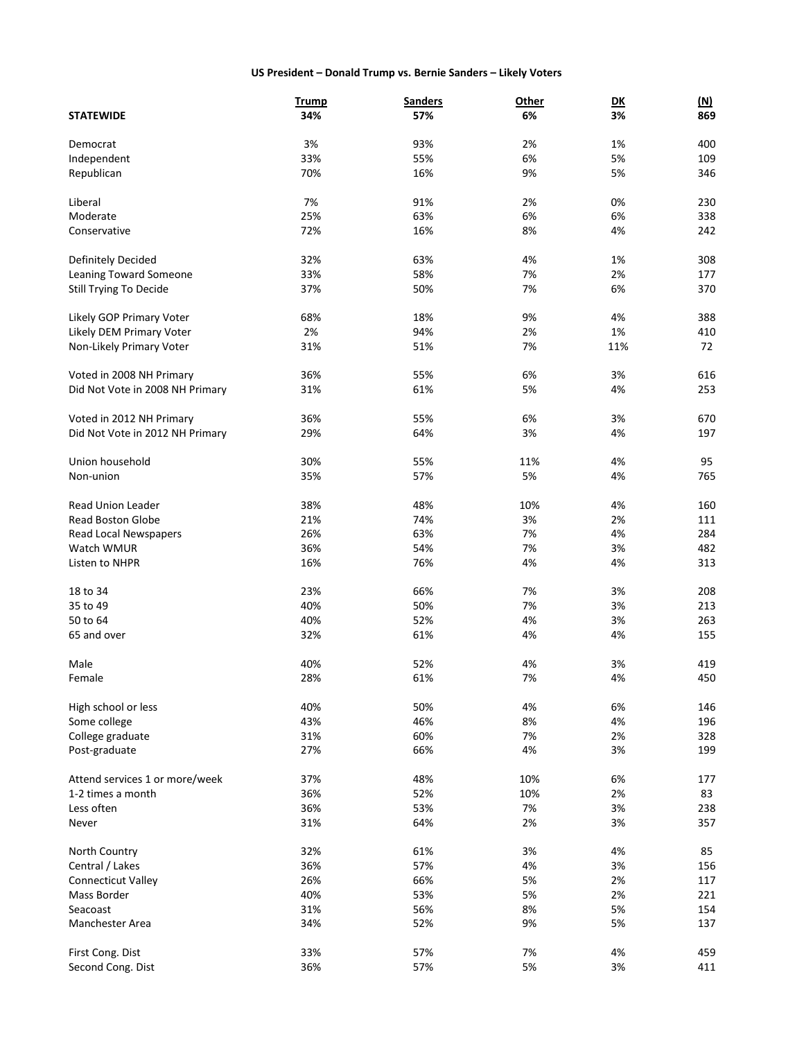# **US President – Donald Trump vs. Bernie Sanders – Likely Voters**

|                                 | <b>Trump</b> | <b>Sanders</b> | Other | $\overline{\mathsf{D}\mathsf{K}}$ | <u>(N)</u> |
|---------------------------------|--------------|----------------|-------|-----------------------------------|------------|
| <b>STATEWIDE</b>                | 34%          | 57%            | 6%    | 3%                                | 869        |
|                                 |              |                |       |                                   |            |
| Democrat                        | 3%           | 93%            | 2%    | 1%                                | 400        |
| Independent                     | 33%          | 55%            | 6%    | 5%                                | 109        |
| Republican                      | 70%          | 16%            | 9%    | 5%                                | 346        |
|                                 |              |                |       |                                   |            |
| Liberal                         | 7%           | 91%            | 2%    | 0%                                | 230        |
| Moderate                        | 25%          | 63%            | 6%    | 6%                                | 338        |
| Conservative                    | 72%          | 16%            | 8%    | 4%                                | 242        |
| Definitely Decided              | 32%          | 63%            | 4%    | 1%                                | 308        |
| <b>Leaning Toward Someone</b>   | 33%          | 58%            | 7%    | 2%                                | 177        |
| Still Trying To Decide          | 37%          | 50%            | 7%    | 6%                                | 370        |
|                                 |              |                |       |                                   |            |
| Likely GOP Primary Voter        | 68%          | 18%            | 9%    | 4%                                | 388        |
| Likely DEM Primary Voter        | 2%           | 94%            | 2%    | 1%                                | 410        |
| Non-Likely Primary Voter        | 31%          | 51%            | 7%    | 11%                               | 72         |
|                                 |              |                |       |                                   |            |
| Voted in 2008 NH Primary        | 36%          | 55%            | 6%    | 3%                                | 616        |
| Did Not Vote in 2008 NH Primary | 31%          | 61%            | 5%    | 4%                                | 253        |
| Voted in 2012 NH Primary        | 36%          | 55%            | 6%    | 3%                                | 670        |
|                                 | 29%          | 64%            | 3%    | 4%                                | 197        |
| Did Not Vote in 2012 NH Primary |              |                |       |                                   |            |
| Union household                 | 30%          | 55%            | 11%   | 4%                                | 95         |
| Non-union                       | 35%          | 57%            | 5%    | 4%                                | 765        |
|                                 |              |                |       |                                   |            |
| <b>Read Union Leader</b>        | 38%          | 48%            | 10%   | 4%                                | 160        |
| <b>Read Boston Globe</b>        | 21%          | 74%            | 3%    | 2%                                | 111        |
| Read Local Newspapers           | 26%          | 63%            | 7%    | 4%                                | 284        |
| Watch WMUR                      | 36%          | 54%            | 7%    | 3%                                | 482        |
| Listen to NHPR                  | 16%          | 76%            | 4%    | 4%                                | 313        |
|                                 |              |                |       |                                   |            |
| 18 to 34                        | 23%          | 66%            | 7%    | 3%                                | 208        |
| 35 to 49                        | 40%          | 50%            | 7%    | 3%                                | 213        |
| 50 to 64                        | 40%          | 52%            | 4%    | 3%                                | 263        |
| 65 and over                     | 32%          | 61%            | 4%    | 4%                                | 155        |
| Male                            | 40%          | 52%            | 4%    | 3%                                | 419        |
| Female                          | 28%          | 61%            | 7%    | 4%                                | 450        |
|                                 |              |                |       |                                   |            |
| High school or less             | 40%          | 50%            | 4%    | 6%                                | 146        |
| Some college                    | 43%          | 46%            | 8%    | 4%                                | 196        |
| College graduate                | 31%          | 60%            | 7%    | 2%                                | 328        |
| Post-graduate                   | 27%          | 66%            | 4%    | 3%                                | 199        |
| Attend services 1 or more/week  | 37%          | 48%            | 10%   | 6%                                | 177        |
| 1-2 times a month               | 36%          | 52%            | 10%   | 2%                                | 83         |
| Less often                      | 36%          |                | 7%    |                                   |            |
|                                 |              | 53%            |       | 3%                                | 238        |
| Never                           | 31%          | 64%            | 2%    | 3%                                | 357        |
| North Country                   | 32%          | 61%            | 3%    | 4%                                | 85         |
| Central / Lakes                 | 36%          | 57%            | 4%    | 3%                                | 156        |
| <b>Connecticut Valley</b>       | 26%          | 66%            | 5%    | 2%                                | 117        |
| Mass Border                     | 40%          | 53%            | 5%    | 2%                                | 221        |
| Seacoast                        | 31%          | 56%            | 8%    | 5%                                | 154        |
| Manchester Area                 | 34%          | 52%            | 9%    | 5%                                | 137        |
|                                 |              |                |       |                                   |            |
| First Cong. Dist                | 33%          | 57%            | 7%    | 4%                                | 459        |
| Second Cong. Dist               | 36%          | 57%            | 5%    | 3%                                | 411        |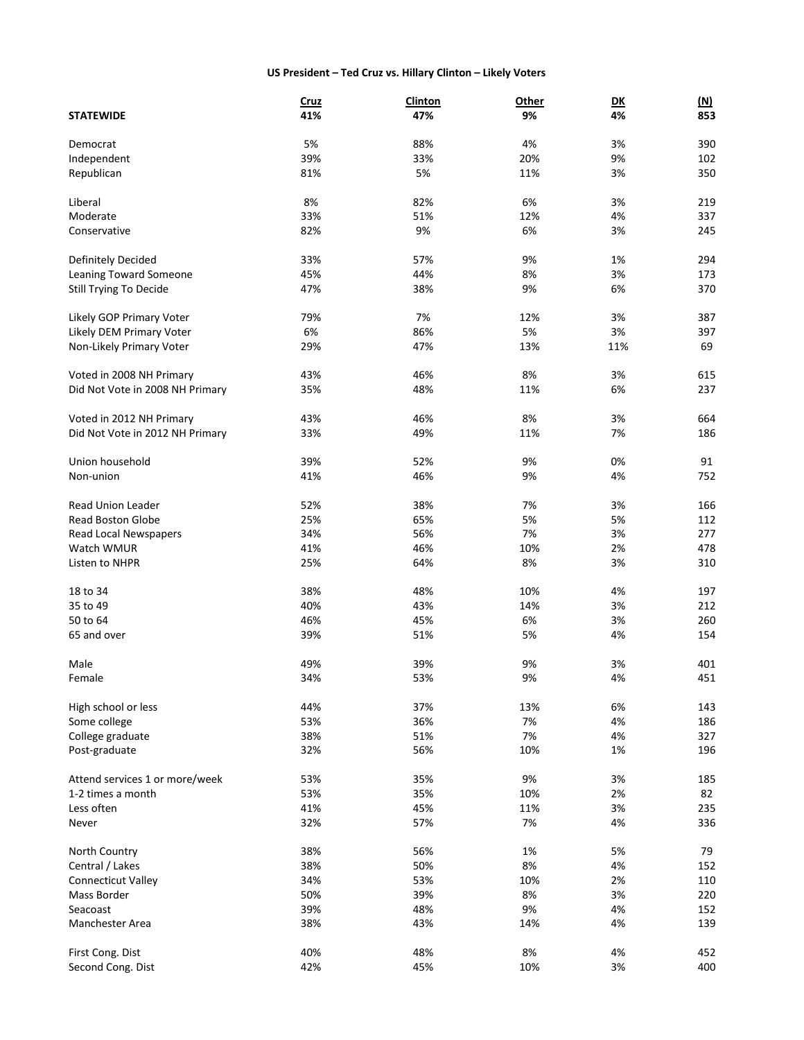# **US President – Ted Cruz vs. Hillary Clinton – Likely Voters**

|                                 | <b>Cruz</b> | <b>Clinton</b> | <b>Other</b> | $\overline{\mathsf{D}\mathsf{K}}$ | <u>(N)</u> |
|---------------------------------|-------------|----------------|--------------|-----------------------------------|------------|
| <b>STATEWIDE</b>                | 41%         | 47%            | 9%           | 4%                                | 853        |
|                                 |             |                |              |                                   |            |
| Democrat                        | 5%          | 88%            | 4%           | 3%                                | 390        |
| Independent                     | 39%         | 33%            | 20%          | 9%                                | 102        |
| Republican                      | 81%         | 5%             | 11%          | 3%                                | 350        |
| Liberal                         | 8%          | 82%            | 6%           | 3%                                | 219        |
| Moderate                        | 33%         | 51%            | 12%          | 4%                                | 337        |
| Conservative                    | 82%         | 9%             | 6%           | 3%                                | 245        |
|                                 |             |                |              |                                   |            |
| Definitely Decided              | 33%         | 57%            | 9%           | 1%                                | 294        |
| Leaning Toward Someone          | 45%         | 44%            | 8%           | 3%                                | 173        |
| <b>Still Trying To Decide</b>   | 47%         | 38%            | 9%           | 6%                                | 370        |
|                                 |             |                |              |                                   |            |
| Likely GOP Primary Voter        | 79%         | 7%             | 12%          | 3%                                | 387        |
| Likely DEM Primary Voter        | 6%          | 86%            | 5%           | 3%                                | 397        |
| Non-Likely Primary Voter        | 29%         | 47%            | 13%          | 11%                               | 69         |
| Voted in 2008 NH Primary        | 43%         | 46%            | 8%           | 3%                                | 615        |
| Did Not Vote in 2008 NH Primary | 35%         | 48%            | 11%          | 6%                                | 237        |
|                                 |             |                |              |                                   |            |
| Voted in 2012 NH Primary        | 43%         | 46%            | 8%           | 3%                                | 664        |
| Did Not Vote in 2012 NH Primary | 33%         | 49%            | 11%          | 7%                                | 186        |
| Union household                 | 39%         | 52%            | 9%           | 0%                                | 91         |
| Non-union                       | 41%         |                | 9%           | 4%                                |            |
|                                 |             | 46%            |              |                                   | 752        |
| <b>Read Union Leader</b>        | 52%         | 38%            | 7%           | 3%                                | 166        |
| <b>Read Boston Globe</b>        | 25%         | 65%            | 5%           | 5%                                | 112        |
| Read Local Newspapers           | 34%         | 56%            | 7%           | 3%                                | 277        |
| Watch WMUR                      | 41%         | 46%            | 10%          | 2%                                | 478        |
| Listen to NHPR                  | 25%         | 64%            | 8%           | 3%                                | 310        |
|                                 |             |                |              |                                   |            |
| 18 to 34                        | 38%         | 48%            | 10%          | 4%                                | 197        |
| 35 to 49                        | 40%         | 43%            | 14%          | 3%                                | 212        |
| 50 to 64                        | 46%         | 45%            | 6%           | 3%                                | 260        |
| 65 and over                     | 39%         | 51%            | 5%           | 4%                                | 154        |
| Male                            | 49%         | 39%            | 9%           | 3%                                | 401        |
| Female                          | 34%         | 53%            | 9%           | 4%                                | 451        |
|                                 |             |                |              |                                   |            |
| High school or less             | 44%         | 37%            | 13%          | 6%                                | 143        |
| Some college                    | 53%         | 36%            | 7%           | 4%                                | 186        |
| College graduate                | 38%         | 51%            | 7%           | 4%                                | 327        |
| Post-graduate                   | 32%         | 56%            | 10%          | 1%                                | 196        |
|                                 |             |                |              |                                   |            |
| Attend services 1 or more/week  | 53%         | 35%            | 9%           | 3%                                | 185        |
| 1-2 times a month               | 53%         | 35%            | 10%          | 2%                                | 82         |
| Less often                      | 41%         | 45%            | 11%          | 3%                                | 235        |
| Never                           | 32%         | 57%            | 7%           | 4%                                | 336        |
| North Country                   | 38%         | 56%            | 1%           | 5%                                | 79         |
| Central / Lakes                 | 38%         | 50%            | 8%           | 4%                                | 152        |
| Connecticut Valley              | 34%         | 53%            | 10%          | 2%                                | 110        |
| Mass Border                     | 50%         | 39%            | 8%           | 3%                                |            |
|                                 |             |                |              |                                   | 220        |
| Seacoast                        | 39%         | 48%            | 9%           | 4%                                | 152        |
| Manchester Area                 | 38%         | 43%            | 14%          | 4%                                | 139        |
| First Cong. Dist                | 40%         | 48%            | 8%           | 4%                                | 452        |
| Second Cong. Dist               | 42%         | 45%            | 10%          | 3%                                | 400        |
|                                 |             |                |              |                                   |            |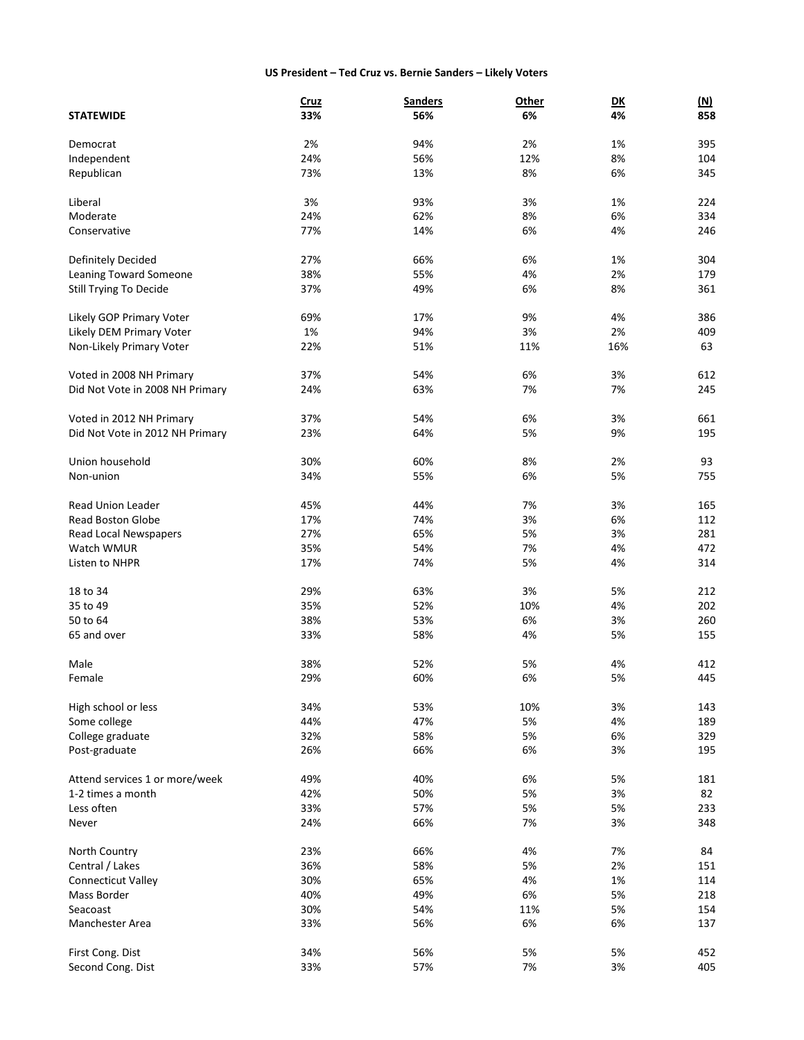# **US President – Ted Cruz vs. Bernie Sanders – Likely Voters**

|                                 | <b>Cruz</b> | <b>Sanders</b> | Other | D <sub>K</sub> | <u>(N)</u> |
|---------------------------------|-------------|----------------|-------|----------------|------------|
| <b>STATEWIDE</b>                | 33%         | 56%            | 6%    | 4%             | 858        |
|                                 |             |                |       |                |            |
| Democrat                        | 2%          | 94%            | 2%    | 1%             | 395        |
| Independent                     | 24%         | 56%            | 12%   | 8%             | 104        |
| Republican                      | 73%         | 13%            | 8%    | 6%             | 345        |
| Liberal                         | 3%          | 93%            | 3%    | 1%             | 224        |
| Moderate                        | 24%         | 62%            | 8%    | 6%             | 334        |
| Conservative                    | 77%         | 14%            | 6%    | 4%             | 246        |
|                                 |             |                |       |                |            |
| Definitely Decided              | 27%         | 66%            | 6%    | 1%             | 304        |
| Leaning Toward Someone          | 38%         | 55%            | 4%    | 2%             | 179        |
| Still Trying To Decide          | 37%         | 49%            | 6%    | 8%             | 361        |
|                                 |             |                |       |                |            |
| Likely GOP Primary Voter        | 69%         | 17%            | 9%    | 4%             | 386        |
| Likely DEM Primary Voter        | 1%          | 94%            | 3%    | 2%             | 409        |
| Non-Likely Primary Voter        | 22%         | 51%            | 11%   | 16%            | 63         |
| Voted in 2008 NH Primary        | 37%         | 54%            | 6%    | 3%             | 612        |
| Did Not Vote in 2008 NH Primary | 24%         | 63%            | 7%    | 7%             | 245        |
|                                 |             |                |       |                |            |
| Voted in 2012 NH Primary        | 37%         | 54%            | 6%    | 3%             | 661        |
| Did Not Vote in 2012 NH Primary | 23%         | 64%            | 5%    | 9%             | 195        |
| Union household                 |             | 60%            |       |                | 93         |
|                                 | 30%         |                | 8%    | 2%             |            |
| Non-union                       | 34%         | 55%            | 6%    | 5%             | 755        |
| <b>Read Union Leader</b>        | 45%         | 44%            | 7%    | 3%             | 165        |
| <b>Read Boston Globe</b>        | 17%         | 74%            | 3%    | 6%             | 112        |
| Read Local Newspapers           | 27%         | 65%            | 5%    | 3%             | 281        |
| Watch WMUR                      | 35%         | 54%            | 7%    | 4%             | 472        |
| Listen to NHPR                  | 17%         | 74%            | 5%    | 4%             | 314        |
|                                 |             |                |       |                |            |
| 18 to 34                        | 29%         | 63%            | 3%    | 5%             | 212        |
| 35 to 49                        | 35%         | 52%            | 10%   | 4%             | 202        |
| 50 to 64                        | 38%         | 53%            | 6%    | 3%             | 260        |
| 65 and over                     | 33%         | 58%            | 4%    | 5%             | 155        |
|                                 |             |                |       |                |            |
| Male                            | 38%         | 52%            | 5%    | 4%             | 412        |
| Female                          | 29%         | 60%            | 6%    | 5%             | 445        |
| High school or less             | 34%         | 53%            | 10%   | 3%             | 143        |
| Some college                    | 44%         | 47%            | 5%    | 4%             | 189        |
| College graduate                | 32%         | 58%            | 5%    | 6%             | 329        |
| Post-graduate                   | 26%         | 66%            | 6%    | 3%             | 195        |
|                                 |             |                |       |                |            |
| Attend services 1 or more/week  | 49%         | 40%            | 6%    | 5%             | 181        |
| 1-2 times a month               | 42%         | 50%            | 5%    | 3%             | 82         |
| Less often                      | 33%         | 57%            | 5%    | 5%             | 233        |
| Never                           | 24%         | 66%            | 7%    | 3%             | 348        |
|                                 |             |                |       |                | 84         |
| North Country                   | 23%         | 66%            | 4%    | 7%             |            |
| Central / Lakes                 | 36%         | 58%            | 5%    | 2%             | 151        |
| <b>Connecticut Valley</b>       | 30%         | 65%            | 4%    | 1%             | 114        |
| Mass Border                     | 40%         | 49%            | 6%    | 5%             | 218        |
| Seacoast                        | 30%         | 54%            | 11%   | 5%             | 154        |
| Manchester Area                 | 33%         | 56%            | 6%    | 6%             | 137        |
| First Cong. Dist                | 34%         | 56%            | 5%    | 5%             | 452        |
| Second Cong. Dist               | 33%         | 57%            | 7%    | 3%             | 405        |
|                                 |             |                |       |                |            |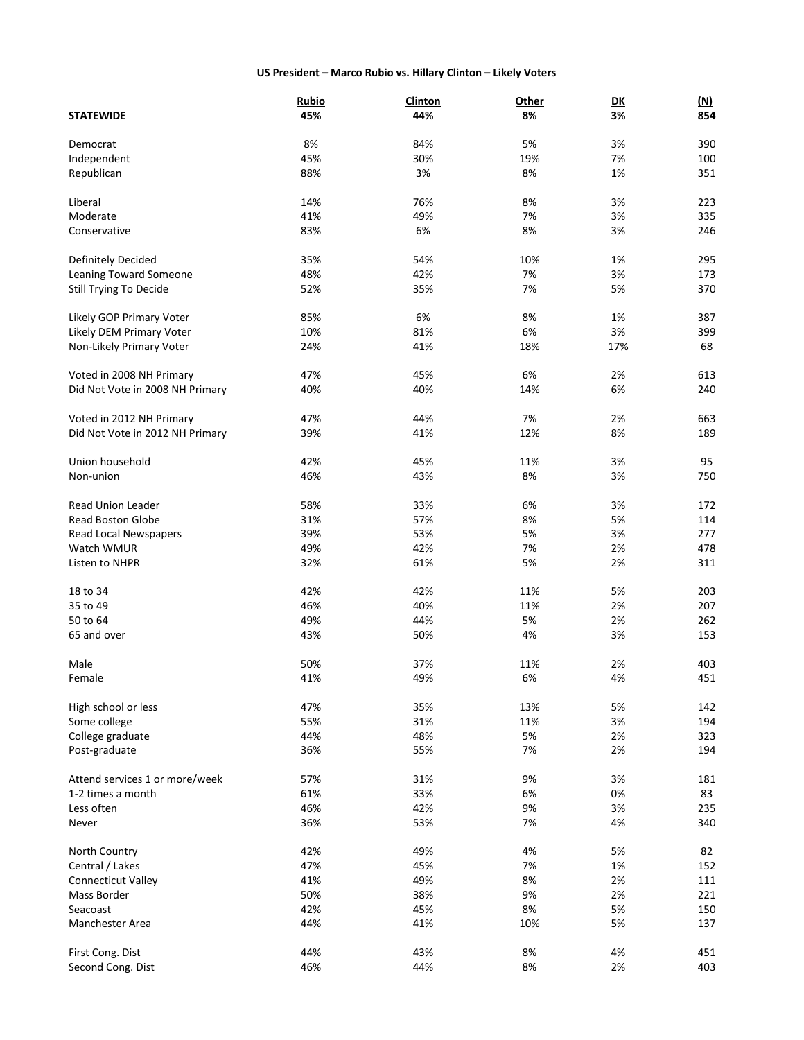# **US President – Marco Rubio vs. Hillary Clinton – Likely Voters**

|                                 | <b>Rubio</b> | <b>Clinton</b> | Other | $\overline{\mathsf{D}\mathsf{K}}$ | <u>(N)</u> |
|---------------------------------|--------------|----------------|-------|-----------------------------------|------------|
| <b>STATEWIDE</b>                | 45%          | 44%            | 8%    | 3%                                | 854        |
|                                 |              |                |       |                                   |            |
| Democrat                        | 8%           | 84%            | 5%    | 3%                                | 390        |
| Independent                     | 45%          | 30%            | 19%   | 7%                                | 100        |
| Republican                      | 88%          | 3%             | 8%    | 1%                                | 351        |
| Liberal                         | 14%          | 76%            | 8%    | 3%                                | 223        |
| Moderate                        | 41%          | 49%            | 7%    | 3%                                | 335        |
| Conservative                    | 83%          | 6%             | 8%    | 3%                                | 246        |
|                                 |              |                |       |                                   |            |
| Definitely Decided              | 35%          | 54%            | 10%   | 1%                                | 295        |
| Leaning Toward Someone          | 48%          | 42%            | 7%    | 3%                                | 173        |
| Still Trying To Decide          | 52%          | 35%            | 7%    | 5%                                | 370        |
| Likely GOP Primary Voter        | 85%          | 6%             | 8%    | 1%                                | 387        |
| Likely DEM Primary Voter        |              | 81%            |       | 3%                                |            |
|                                 | 10%          |                | 6%    |                                   | 399        |
| Non-Likely Primary Voter        | 24%          | 41%            | 18%   | 17%                               | 68         |
| Voted in 2008 NH Primary        | 47%          | 45%            | 6%    | 2%                                | 613        |
| Did Not Vote in 2008 NH Primary | 40%          | 40%            | 14%   | 6%                                | 240        |
|                                 |              |                |       |                                   |            |
| Voted in 2012 NH Primary        | 47%          | 44%            | 7%    | 2%                                | 663        |
| Did Not Vote in 2012 NH Primary | 39%          | 41%            | 12%   | 8%                                | 189        |
| Union household                 | 42%          | 45%            | 11%   | 3%                                | 95         |
| Non-union                       | 46%          |                |       |                                   | 750        |
|                                 |              | 43%            | 8%    | 3%                                |            |
| <b>Read Union Leader</b>        | 58%          | 33%            | 6%    | 3%                                | 172        |
| <b>Read Boston Globe</b>        | 31%          | 57%            | 8%    | 5%                                | 114        |
| Read Local Newspapers           | 39%          | 53%            | 5%    | 3%                                | 277        |
| Watch WMUR                      | 49%          | 42%            | 7%    | 2%                                | 478        |
| Listen to NHPR                  | 32%          | 61%            | 5%    | 2%                                | 311        |
|                                 |              |                |       |                                   |            |
| 18 to 34                        | 42%          | 42%            | 11%   | 5%                                | 203        |
| 35 to 49                        | 46%          | 40%            | 11%   | 2%                                | 207        |
| 50 to 64                        | 49%          | 44%            | 5%    | 2%                                | 262        |
| 65 and over                     | 43%          | 50%            | 4%    | 3%                                | 153        |
| Male                            | 50%          | 37%            | 11%   | 2%                                | 403        |
| Female                          | 41%          | 49%            | 6%    | 4%                                | 451        |
|                                 |              |                |       |                                   |            |
| High school or less             | 47%          | 35%            | 13%   | 5%                                | 142        |
| Some college                    | 55%          | 31%            | 11%   | 3%                                | 194        |
| College graduate                | 44%          | 48%            | 5%    | 2%                                | 323        |
| Post-graduate                   | 36%          | 55%            | 7%    | 2%                                | 194        |
|                                 |              |                |       |                                   |            |
| Attend services 1 or more/week  | 57%          | 31%            | 9%    | 3%                                | 181        |
| 1-2 times a month               | 61%          | 33%            | 6%    | 0%                                | 83         |
| Less often                      | 46%          | 42%            | 9%    | 3%                                | 235        |
| Never                           | 36%          | 53%            | 7%    | 4%                                | 340        |
| North Country                   | 42%          | 49%            | 4%    | 5%                                | 82         |
| Central / Lakes                 | 47%          | 45%            | 7%    | 1%                                | 152        |
| <b>Connecticut Valley</b>       | 41%          | 49%            | 8%    | 2%                                | 111        |
|                                 |              |                |       |                                   |            |
| Mass Border                     | 50%          | 38%            | 9%    | 2%                                | 221        |
| Seacoast                        | 42%          | 45%            | 8%    | 5%                                | 150        |
| Manchester Area                 | 44%          | 41%            | 10%   | 5%                                | 137        |
| First Cong. Dist                | 44%          | 43%            | 8%    | 4%                                | 451        |
| Second Cong. Dist               | 46%          | 44%            | 8%    | 2%                                | 403        |
|                                 |              |                |       |                                   |            |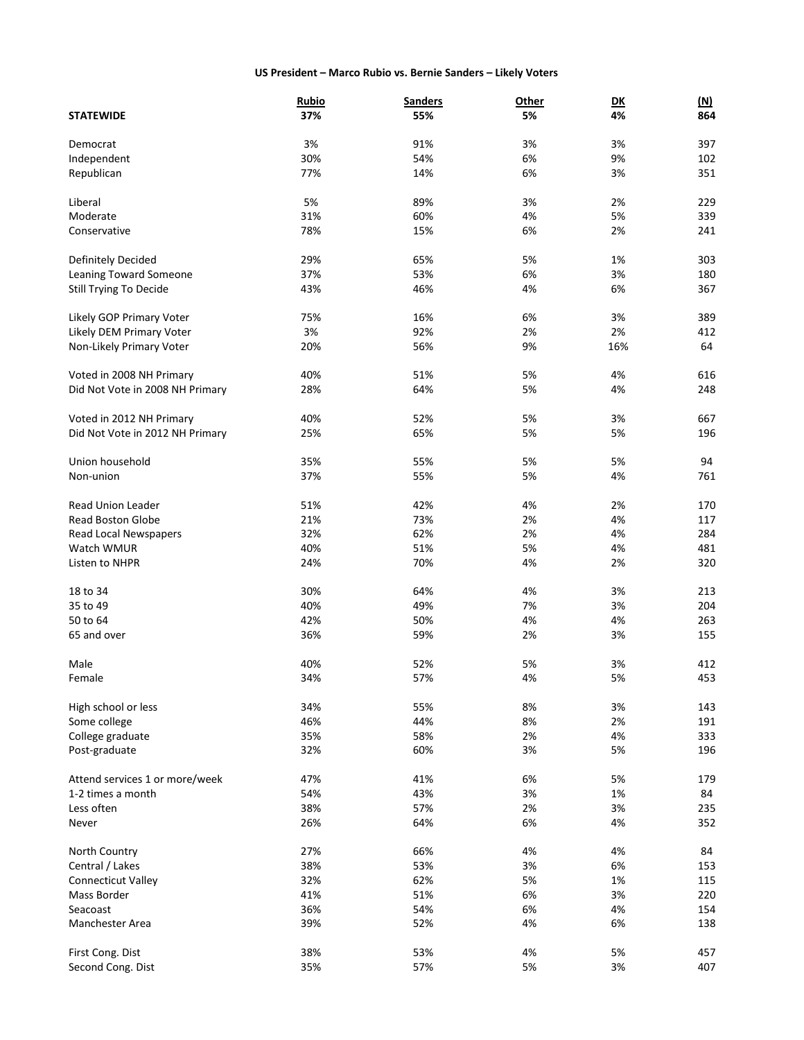#### **US President – Marco Rubio vs. Bernie Sanders – Likely Voters**

|                                 | <b>Rubio</b> | <b>Sanders</b> | <b>Other</b> | $\overline{\mathsf{D}\mathsf{K}}$ | <u>(N)</u> |
|---------------------------------|--------------|----------------|--------------|-----------------------------------|------------|
| <b>STATEWIDE</b>                | 37%          | 55%            | 5%           | 4%                                | 864        |
|                                 |              |                |              |                                   |            |
| Democrat                        | 3%           | 91%            | 3%           | 3%                                | 397        |
| Independent                     | 30%          | 54%            | 6%           | 9%                                | 102        |
| Republican                      | 77%          | 14%            | 6%           | 3%                                | 351        |
| Liberal                         | 5%           | 89%            | 3%           | 2%                                | 229        |
| Moderate                        | 31%          | 60%            | 4%           | 5%                                | 339        |
| Conservative                    | 78%          | 15%            | 6%           | 2%                                | 241        |
|                                 |              |                |              |                                   |            |
| Definitely Decided              | 29%          | 65%            | 5%           | 1%                                | 303        |
| <b>Leaning Toward Someone</b>   | 37%          | 53%            | 6%           | 3%                                | 180        |
| Still Trying To Decide          | 43%          | 46%            | 4%           | 6%                                | 367        |
|                                 |              |                |              |                                   |            |
| Likely GOP Primary Voter        | 75%          | 16%            | 6%           | 3%                                | 389        |
| Likely DEM Primary Voter        | 3%           | 92%            | 2%           | 2%                                | 412        |
| Non-Likely Primary Voter        | 20%          | 56%            | 9%           | 16%                               | 64         |
| Voted in 2008 NH Primary        | 40%          | 51%            | 5%           | 4%                                | 616        |
| Did Not Vote in 2008 NH Primary | 28%          | 64%            | 5%           | 4%                                | 248        |
|                                 |              |                |              |                                   |            |
| Voted in 2012 NH Primary        | 40%          | 52%            | 5%           | 3%                                | 667        |
| Did Not Vote in 2012 NH Primary | 25%          | 65%            | 5%           | 5%                                | 196        |
|                                 |              |                |              |                                   |            |
| Union household                 | 35%          | 55%            | 5%           | 5%                                | 94         |
| Non-union                       | 37%          | 55%            | 5%           | 4%                                | 761        |
| <b>Read Union Leader</b>        | 51%          | 42%            | 4%           | 2%                                | 170        |
| <b>Read Boston Globe</b>        | 21%          | 73%            | 2%           | 4%                                | 117        |
| Read Local Newspapers           | 32%          | 62%            | 2%           | 4%                                | 284        |
| Watch WMUR                      | 40%          | 51%            | 5%           | 4%                                | 481        |
| Listen to NHPR                  | 24%          | 70%            | 4%           | 2%                                | 320        |
|                                 |              |                |              |                                   |            |
| 18 to 34                        | 30%          | 64%            | 4%           | 3%                                | 213        |
| 35 to 49                        | 40%          | 49%            | 7%           | 3%                                | 204        |
| 50 to 64                        | 42%          | 50%            | 4%           | 4%                                | 263        |
| 65 and over                     | 36%          | 59%            | 2%           | 3%                                | 155        |
|                                 |              |                |              |                                   |            |
| Male                            | 40%          | 52%            | 5%           | 3%                                | 412        |
| Female                          | 34%          | 57%            | 4%           | 5%                                | 453        |
| High school or less             | 34%          | 55%            | 8%           | 3%                                | 143        |
| Some college                    | 46%          | 44%            | 8%           | 2%                                | 191        |
| College graduate                | 35%          | 58%            | 2%           | 4%                                | 333        |
| Post-graduate                   | 32%          | 60%            | 3%           | 5%                                | 196        |
|                                 |              |                |              |                                   |            |
| Attend services 1 or more/week  | 47%          | 41%            | 6%           | 5%                                | 179        |
| 1-2 times a month               | 54%          | 43%            | 3%           | 1%                                | 84         |
| Less often                      | 38%          | 57%            | 2%           | 3%                                | 235        |
| Never                           | 26%          | 64%            | 6%           | 4%                                | 352        |
|                                 |              |                |              |                                   |            |
| North Country                   | 27%          | 66%            | 4%           | 4%                                | 84         |
| Central / Lakes                 | 38%          | 53%            | 3%           | 6%                                | 153        |
| Connecticut Valley              | 32%          | 62%            | 5%           | 1%                                | 115        |
| Mass Border                     | 41%          | 51%            | 6%           | 3%                                | 220        |
| Seacoast                        | 36%          | 54%            | 6%           | 4%                                | 154        |
| Manchester Area                 | 39%          | 52%            | 4%           | 6%                                | 138        |
| First Cong. Dist                | 38%          | 53%            | 4%           | 5%                                | 457        |
| Second Cong. Dist               | 35%          | 57%            | 5%           | 3%                                | 407        |
|                                 |              |                |              |                                   |            |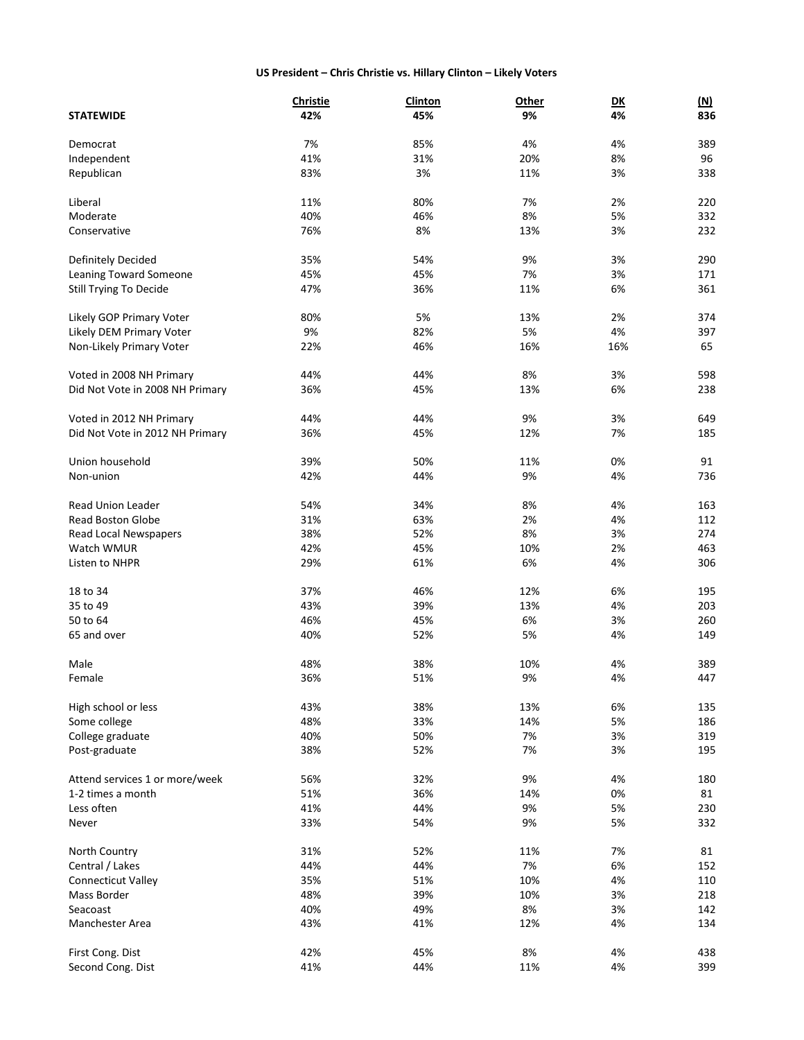# **US President – Chris Christie vs. Hillary Clinton – Likely Voters**

|                                 | Christie | Clinton | Other | $\overline{\mathsf{D}\mathsf{K}}$ | <u>(N)</u> |
|---------------------------------|----------|---------|-------|-----------------------------------|------------|
| <b>STATEWIDE</b>                | 42%      | 45%     | 9%    | 4%                                | 836        |
|                                 |          |         |       |                                   |            |
| Democrat                        | 7%       | 85%     | 4%    | 4%                                | 389        |
| Independent                     | 41%      | 31%     | 20%   | 8%                                | 96         |
| Republican                      | 83%      | 3%      | 11%   | 3%                                | 338        |
| Liberal                         | 11%      | 80%     | 7%    | 2%                                | 220        |
| Moderate                        | 40%      | 46%     | 8%    | 5%                                | 332        |
|                                 | 76%      |         |       |                                   |            |
| Conservative                    |          | 8%      | 13%   | 3%                                | 232        |
| Definitely Decided              | 35%      | 54%     | 9%    | 3%                                | 290        |
| Leaning Toward Someone          | 45%      | 45%     | 7%    | 3%                                | 171        |
| Still Trying To Decide          | 47%      | 36%     | 11%   | 6%                                | 361        |
|                                 |          |         |       |                                   |            |
| Likely GOP Primary Voter        | 80%      | 5%      | 13%   | 2%                                | 374        |
| Likely DEM Primary Voter        | 9%       | 82%     | 5%    | 4%                                | 397        |
| Non-Likely Primary Voter        | 22%      | 46%     | 16%   | 16%                               | 65         |
| Voted in 2008 NH Primary        | 44%      | 44%     | 8%    | 3%                                | 598        |
| Did Not Vote in 2008 NH Primary | 36%      | 45%     | 13%   | 6%                                | 238        |
|                                 |          |         |       |                                   |            |
| Voted in 2012 NH Primary        | 44%      | 44%     | 9%    | 3%                                | 649        |
| Did Not Vote in 2012 NH Primary | 36%      | 45%     | 12%   | 7%                                | 185        |
| Union household                 | 39%      | 50%     | 11%   | 0%                                | 91         |
| Non-union                       | 42%      | 44%     | 9%    | 4%                                | 736        |
|                                 |          |         |       |                                   |            |
| <b>Read Union Leader</b>        | 54%      | 34%     | 8%    | 4%                                | 163        |
| <b>Read Boston Globe</b>        | 31%      | 63%     | 2%    | 4%                                | 112        |
| Read Local Newspapers           | 38%      | 52%     | 8%    | 3%                                | 274        |
| Watch WMUR                      | 42%      | 45%     | 10%   | 2%                                | 463        |
| Listen to NHPR                  | 29%      | 61%     | 6%    | 4%                                | 306        |
| 18 to 34                        | 37%      | 46%     | 12%   | 6%                                | 195        |
| 35 to 49                        | 43%      | 39%     | 13%   | 4%                                | 203        |
| 50 to 64                        | 46%      | 45%     | 6%    | 3%                                | 260        |
| 65 and over                     | 40%      | 52%     | 5%    | 4%                                | 149        |
|                                 |          |         |       |                                   |            |
| Male                            | 48%      | 38%     | 10%   | 4%                                | 389        |
| Female                          | 36%      | 51%     | 9%    | 4%                                | 447        |
|                                 |          |         |       |                                   |            |
| High school or less             | 43%      | 38%     | 13%   | 6%                                | 135        |
| Some college                    | 48%      | 33%     | 14%   | 5%                                | 186        |
| College graduate                | 40%      | 50%     | 7%    | 3%                                | 319        |
| Post-graduate                   | 38%      | 52%     | 7%    | 3%                                | 195        |
| Attend services 1 or more/week  | 56%      | 32%     | 9%    | 4%                                | 180        |
| 1-2 times a month               | 51%      | 36%     | 14%   | 0%                                | 81         |
| Less often                      | 41%      | 44%     | 9%    | 5%                                | 230        |
| Never                           | 33%      | 54%     | 9%    | 5%                                | 332        |
|                                 |          |         |       |                                   |            |
| North Country                   | 31%      | 52%     | 11%   | 7%                                | 81         |
| Central / Lakes                 | 44%      | 44%     | 7%    | 6%                                | 152        |
| <b>Connecticut Valley</b>       | 35%      | 51%     | 10%   | 4%                                | 110        |
| Mass Border                     | 48%      | 39%     | 10%   | 3%                                | 218        |
| Seacoast                        | 40%      | 49%     | 8%    | 3%                                | 142        |
| Manchester Area                 | 43%      | 41%     | 12%   | 4%                                | 134        |
| First Cong. Dist                | 42%      | 45%     | 8%    | 4%                                | 438        |
| Second Cong. Dist               | 41%      | 44%     | 11%   | 4%                                | 399        |
|                                 |          |         |       |                                   |            |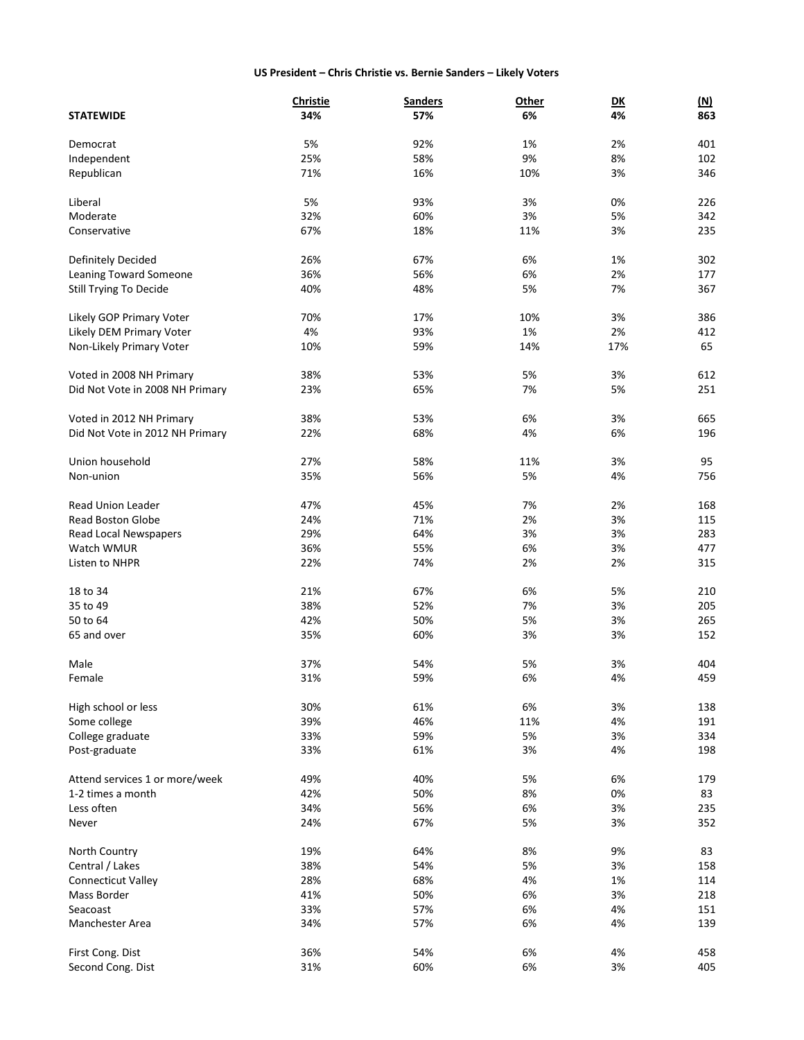# **US President – Chris Christie vs. Bernie Sanders – Likely Voters**

|                                 | <b>Christie</b> | <b>Sanders</b> | Other | DK  | <u>(N)</u> |
|---------------------------------|-----------------|----------------|-------|-----|------------|
| <b>STATEWIDE</b>                | 34%             | 57%            | 6%    | 4%  | 863        |
|                                 |                 |                |       |     |            |
| Democrat                        | 5%              | 92%            | 1%    | 2%  | 401        |
| Independent                     | 25%             | 58%            | 9%    | 8%  | 102        |
| Republican                      | 71%             | 16%            | 10%   | 3%  | 346        |
| Liberal                         | 5%              | 93%            | 3%    | 0%  | 226        |
| Moderate                        | 32%             | 60%            | 3%    | 5%  | 342        |
| Conservative                    | 67%             | 18%            | 11%   | 3%  | 235        |
|                                 |                 |                |       |     |            |
| Definitely Decided              | 26%             | 67%            | 6%    | 1%  | 302        |
| <b>Leaning Toward Someone</b>   | 36%             | 56%            | 6%    | 2%  | 177        |
| Still Trying To Decide          | 40%             | 48%            | 5%    | 7%  | 367        |
|                                 |                 |                |       |     |            |
| Likely GOP Primary Voter        | 70%             | 17%            | 10%   | 3%  | 386        |
| Likely DEM Primary Voter        | 4%              | 93%            | 1%    | 2%  | 412        |
| Non-Likely Primary Voter        | 10%             | 59%            | 14%   | 17% | 65         |
| Voted in 2008 NH Primary        | 38%             | 53%            | 5%    | 3%  | 612        |
| Did Not Vote in 2008 NH Primary | 23%             | 65%            | 7%    | 5%  | 251        |
|                                 |                 |                |       |     |            |
| Voted in 2012 NH Primary        | 38%             | 53%            | 6%    | 3%  | 665        |
| Did Not Vote in 2012 NH Primary | 22%             | 68%            | 4%    | 6%  | 196        |
| Union household                 | 27%             |                |       |     | 95         |
|                                 |                 | 58%            | 11%   | 3%  |            |
| Non-union                       | 35%             | 56%            | 5%    | 4%  | 756        |
| <b>Read Union Leader</b>        | 47%             | 45%            | 7%    | 2%  | 168        |
| <b>Read Boston Globe</b>        | 24%             | 71%            | 2%    | 3%  | 115        |
| Read Local Newspapers           | 29%             | 64%            | 3%    | 3%  | 283        |
| Watch WMUR                      | 36%             | 55%            | 6%    | 3%  | 477        |
| Listen to NHPR                  | 22%             | 74%            | 2%    | 2%  | 315        |
|                                 |                 |                |       |     |            |
| 18 to 34                        | 21%             | 67%            | 6%    | 5%  | 210        |
| 35 to 49                        | 38%             | 52%            | 7%    | 3%  | 205        |
| 50 to 64                        | 42%             | 50%            | 5%    | 3%  | 265        |
| 65 and over                     | 35%             | 60%            | 3%    | 3%  | 152        |
|                                 |                 |                |       |     |            |
| Male                            | 37%             | 54%            | 5%    | 3%  | 404        |
| Female                          | 31%             | 59%            | 6%    | 4%  | 459        |
| High school or less             | 30%             | 61%            | 6%    | 3%  | 138        |
| Some college                    | 39%             | 46%            | 11%   | 4%  | 191        |
| College graduate                | 33%             | 59%            | 5%    | 3%  | 334        |
| Post-graduate                   | 33%             | 61%            | 3%    | 4%  | 198        |
|                                 |                 |                |       |     |            |
| Attend services 1 or more/week  | 49%             | 40%            | 5%    | 6%  | 179        |
| 1-2 times a month               | 42%             | 50%            | 8%    | 0%  | 83         |
| Less often                      | 34%             | 56%            | 6%    | 3%  | 235        |
| Never                           | 24%             | 67%            | 5%    | 3%  | 352        |
| North Country                   | 19%             | 64%            | 8%    | 9%  | 83         |
| Central / Lakes                 | 38%             | 54%            | 5%    | 3%  | 158        |
|                                 | 28%             |                |       |     | 114        |
| <b>Connecticut Valley</b>       |                 | 68%            | 4%    | 1%  |            |
| Mass Border                     | 41%             | 50%            | 6%    | 3%  | 218        |
| Seacoast                        | 33%             | 57%            | 6%    | 4%  | 151        |
| Manchester Area                 | 34%             | 57%            | 6%    | 4%  | 139        |
| First Cong. Dist                | 36%             | 54%            | 6%    | 4%  | 458        |
| Second Cong. Dist               | 31%             | 60%            | 6%    | 3%  | 405        |
|                                 |                 |                |       |     |            |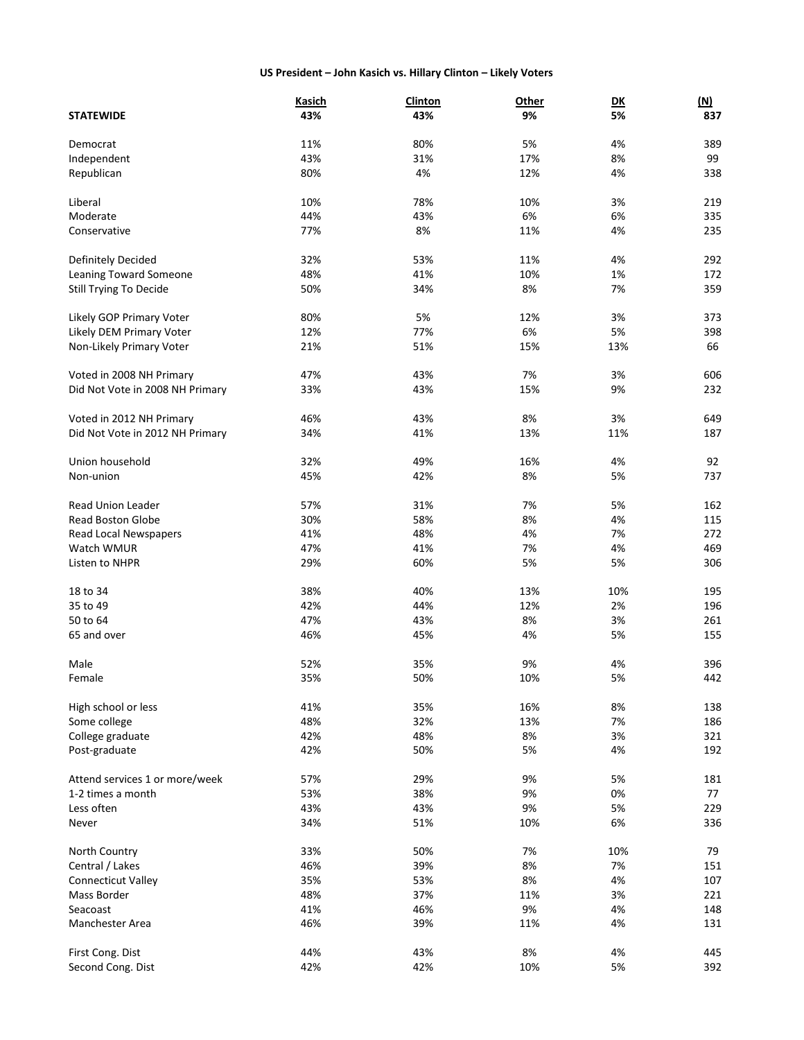# **US President – John Kasich vs. Hillary Clinton – Likely Voters**

|                                 | <b>Kasich</b> | <b>Clinton</b> | <b>Other</b> | $\overline{\mathsf{D}\mathsf{K}}$ | (M) |
|---------------------------------|---------------|----------------|--------------|-----------------------------------|-----|
| <b>STATEWIDE</b>                | 43%           | 43%            | 9%           | 5%                                | 837 |
|                                 |               |                |              |                                   |     |
| Democrat                        | 11%           | 80%            | 5%           | 4%                                | 389 |
| Independent                     | 43%           | 31%            | 17%          | 8%                                | 99  |
| Republican                      | 80%           | 4%             | 12%          | 4%                                | 338 |
| Liberal                         | 10%           | 78%            | 10%          | 3%                                | 219 |
| Moderate                        | 44%           | 43%            | 6%           | 6%                                | 335 |
| Conservative                    | 77%           |                |              |                                   |     |
|                                 |               | 8%             | 11%          | 4%                                | 235 |
| Definitely Decided              | 32%           | 53%            | 11%          | 4%                                | 292 |
| Leaning Toward Someone          | 48%           | 41%            | 10%          | 1%                                | 172 |
| Still Trying To Decide          | 50%           | 34%            | 8%           | 7%                                | 359 |
|                                 |               |                |              |                                   |     |
| Likely GOP Primary Voter        | 80%           | 5%             | 12%          | 3%                                | 373 |
| Likely DEM Primary Voter        | 12%           | 77%            | 6%           | 5%                                | 398 |
| Non-Likely Primary Voter        | 21%           | 51%            | 15%          | 13%                               | 66  |
| Voted in 2008 NH Primary        | 47%           | 43%            | 7%           | 3%                                | 606 |
| Did Not Vote in 2008 NH Primary | 33%           | 43%            | 15%          | 9%                                | 232 |
|                                 |               |                |              |                                   |     |
| Voted in 2012 NH Primary        | 46%           | 43%            | 8%           | 3%                                | 649 |
| Did Not Vote in 2012 NH Primary | 34%           | 41%            | 13%          | 11%                               | 187 |
|                                 |               |                |              |                                   |     |
| Union household                 | 32%           | 49%            | 16%          | 4%                                | 92  |
| Non-union                       | 45%           | 42%            | 8%           | 5%                                | 737 |
| <b>Read Union Leader</b>        | 57%           | 31%            | 7%           | 5%                                | 162 |
| <b>Read Boston Globe</b>        | 30%           | 58%            | 8%           | 4%                                | 115 |
| Read Local Newspapers           | 41%           | 48%            | 4%           | 7%                                | 272 |
| Watch WMUR                      | 47%           | 41%            | 7%           | 4%                                | 469 |
| Listen to NHPR                  | 29%           | 60%            | 5%           | 5%                                | 306 |
|                                 |               |                |              |                                   |     |
| 18 to 34                        | 38%           | 40%            | 13%          | 10%                               | 195 |
| 35 to 49                        | 42%           | 44%            | 12%          | 2%                                | 196 |
| 50 to 64                        | 47%           | 43%            | 8%           | 3%                                | 261 |
| 65 and over                     | 46%           | 45%            | 4%           | 5%                                | 155 |
|                                 |               |                |              |                                   |     |
| Male                            | 52%           | 35%            | 9%           | 4%                                | 396 |
| Female                          | 35%           | 50%            | 10%          | 5%                                | 442 |
| High school or less             | 41%           | 35%            | 16%          | 8%                                | 138 |
| Some college                    | 48%           | 32%            | 13%          | 7%                                | 186 |
| College graduate                | 42%           | 48%            | 8%           | 3%                                | 321 |
| Post-graduate                   | 42%           | 50%            | 5%           | 4%                                | 192 |
|                                 |               |                |              |                                   |     |
| Attend services 1 or more/week  | 57%           | 29%            | 9%           | 5%                                | 181 |
| 1-2 times a month               | 53%           | 38%            | 9%           | 0%                                | 77  |
| Less often                      | 43%           | 43%            | 9%           | 5%                                | 229 |
| Never                           | 34%           | 51%            | 10%          | 6%                                | 336 |
| North Country                   | 33%           | 50%            | 7%           | 10%                               | 79  |
| Central / Lakes                 | 46%           | 39%            | 8%           | 7%                                | 151 |
|                                 |               |                |              | 4%                                | 107 |
| Connecticut Valley              | 35%           | 53%            | 8%           |                                   |     |
| Mass Border                     | 48%           | 37%            | 11%          | 3%                                | 221 |
| Seacoast                        | 41%           | 46%            | 9%           | 4%                                | 148 |
| Manchester Area                 | 46%           | 39%            | 11%          | 4%                                | 131 |
| First Cong. Dist                | 44%           | 43%            | 8%           | 4%                                | 445 |
| Second Cong. Dist               | 42%           | 42%            | 10%          | 5%                                | 392 |
|                                 |               |                |              |                                   |     |